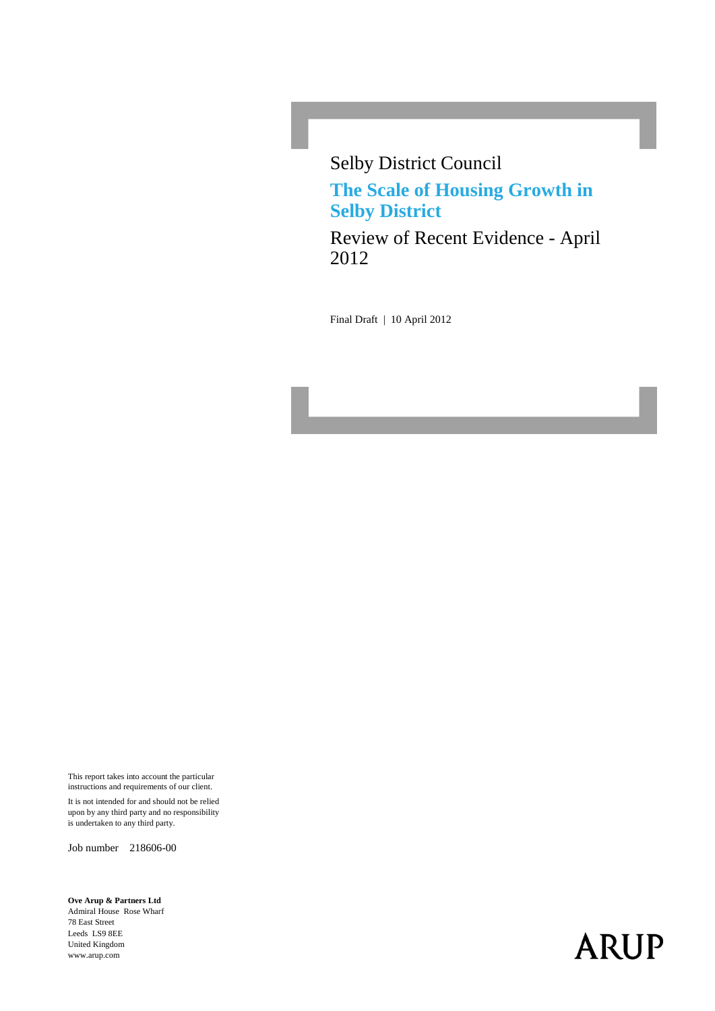Selby District Council **The Scale of Housing Growth in Selby District**

Review of Recent Evidence - April 2012

Final Draft | 10 April 2012

This report takes into account the particular instructions and requirements of our client.

It is not intended for and should not be relied upon by any third party and no responsibility is undertaken to any third party.

Job number 218606-00

**Ove Arup & Partners Ltd** Admiral House Rose Wharf 78 East Street Leeds LS9 8EE United Kingdom www.arup.com

# **ARUP**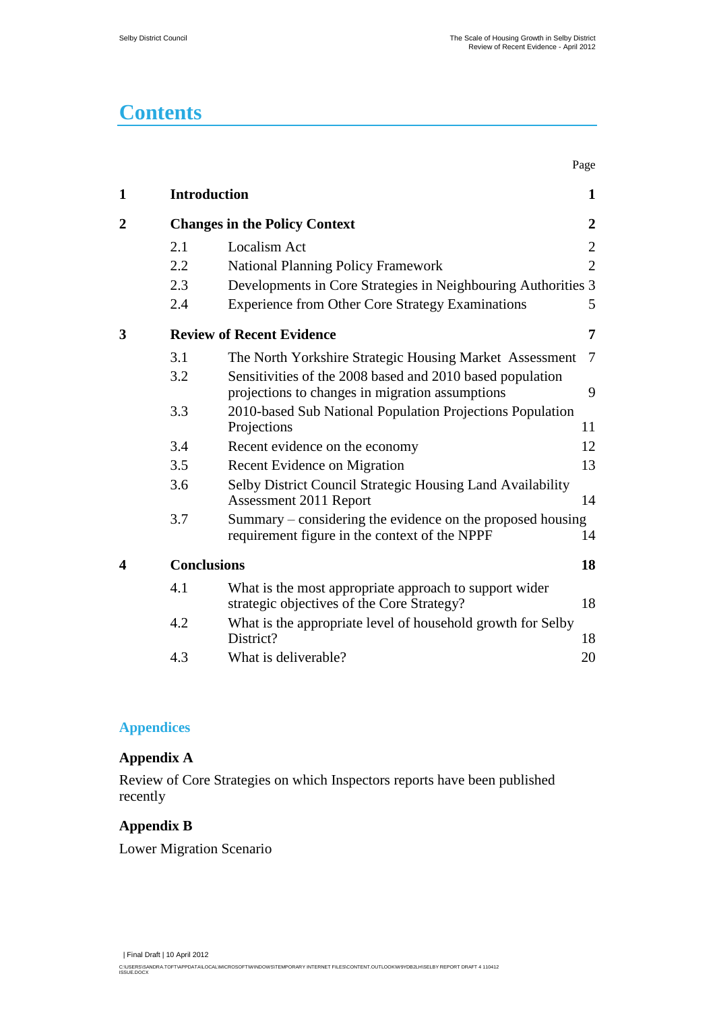Page

# **Contents**

| 1                |                    | <b>Introduction</b>                                                                                          | 1                |
|------------------|--------------------|--------------------------------------------------------------------------------------------------------------|------------------|
| $\boldsymbol{2}$ |                    | <b>Changes in the Policy Context</b>                                                                         | $\boldsymbol{2}$ |
|                  | 2.1                | <b>Localism Act</b>                                                                                          | $\overline{2}$   |
|                  | 2.2                | <b>National Planning Policy Framework</b>                                                                    | $\overline{2}$   |
|                  | 2.3                | Developments in Core Strategies in Neighbouring Authorities 3                                                |                  |
|                  | 2.4                | <b>Experience from Other Core Strategy Examinations</b>                                                      | 5                |
| 3                |                    | <b>Review of Recent Evidence</b>                                                                             | 7                |
|                  | 3.1                | The North Yorkshire Strategic Housing Market Assessment                                                      | $\overline{7}$   |
|                  | 3.2                | Sensitivities of the 2008 based and 2010 based population<br>projections to changes in migration assumptions | 9                |
|                  | 3.3                | 2010-based Sub National Population Projections Population<br>Projections                                     | 11               |
|                  | 3.4                | Recent evidence on the economy                                                                               | 12               |
|                  | 3.5                | Recent Evidence on Migration                                                                                 | 13               |
|                  | 3.6                | Selby District Council Strategic Housing Land Availability<br>Assessment 2011 Report                         | 14               |
|                  | 3.7                | Summary – considering the evidence on the proposed housing<br>requirement figure in the context of the NPPF  | 14               |
| 4                | <b>Conclusions</b> |                                                                                                              | 18               |
|                  | 4.1                | What is the most appropriate approach to support wider<br>strategic objectives of the Core Strategy?         | 18               |
|                  | 4.2                | What is the appropriate level of household growth for Selby<br>District?                                     | 18               |
|                  | 4.3                | What is deliverable?                                                                                         | 20               |

#### **Appendices**

#### **[Appendix A](#page-22-0)**

[Review of Core Strategies on which Inspectors reports have been published](#page-22-1)  [recently](#page-22-1)

#### **[Appendix B](#page-26-0)**

[Lower Migration Scenario](#page-26-1)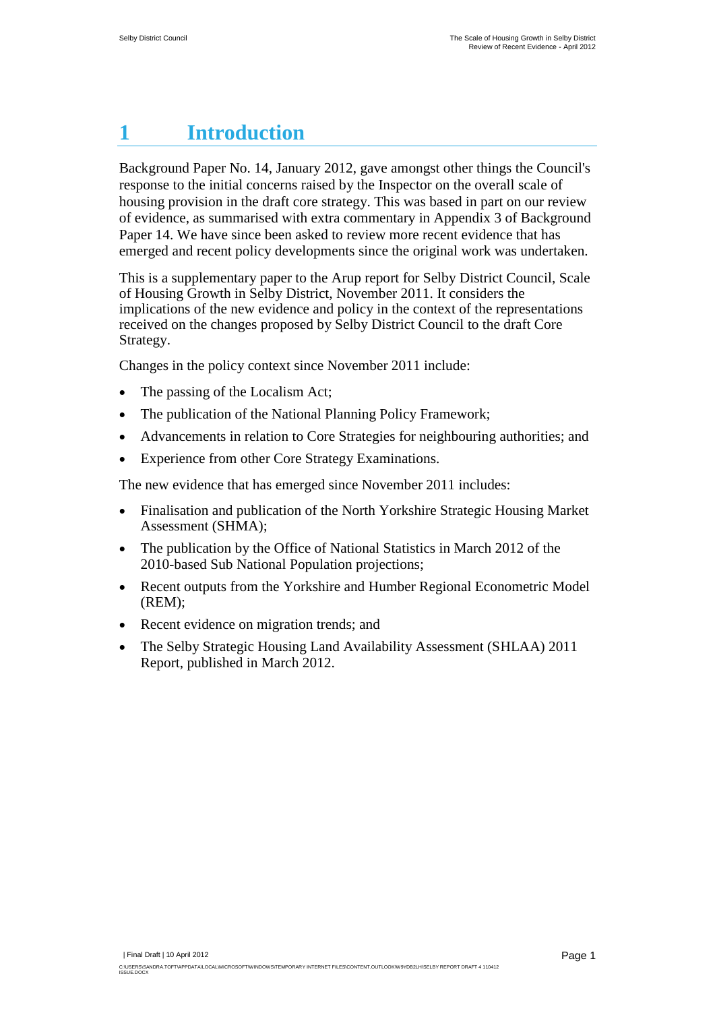# <span id="page-2-0"></span>**1 Introduction**

Background Paper No. 14, January 2012, gave amongst other things the Council's response to the initial concerns raised by the Inspector on the overall scale of housing provision in the draft core strategy. This was based in part on our review of evidence, as summarised with extra commentary in Appendix 3 of Background Paper 14. We have since been asked to review more recent evidence that has emerged and recent policy developments since the original work was undertaken.

This is a supplementary paper to the Arup report for Selby District Council, Scale of Housing Growth in Selby District, November 2011. It considers the implications of the new evidence and policy in the context of the representations received on the changes proposed by Selby District Council to the draft Core Strategy.

Changes in the policy context since November 2011 include:

- The passing of the Localism Act;
- The publication of the National Planning Policy Framework;
- Advancements in relation to Core Strategies for neighbouring authorities; and
- Experience from other Core Strategy Examinations.

The new evidence that has emerged since November 2011 includes:

- Finalisation and publication of the North Yorkshire Strategic Housing Market Assessment (SHMA);
- The publication by the Office of National Statistics in March 2012 of the 2010-based Sub National Population projections;
- Recent outputs from the Yorkshire and Humber Regional Econometric Model (REM);
- Recent evidence on migration trends; and
- The Selby Strategic Housing Land Availability Assessment (SHLAA) 2011 Report, published in March 2012.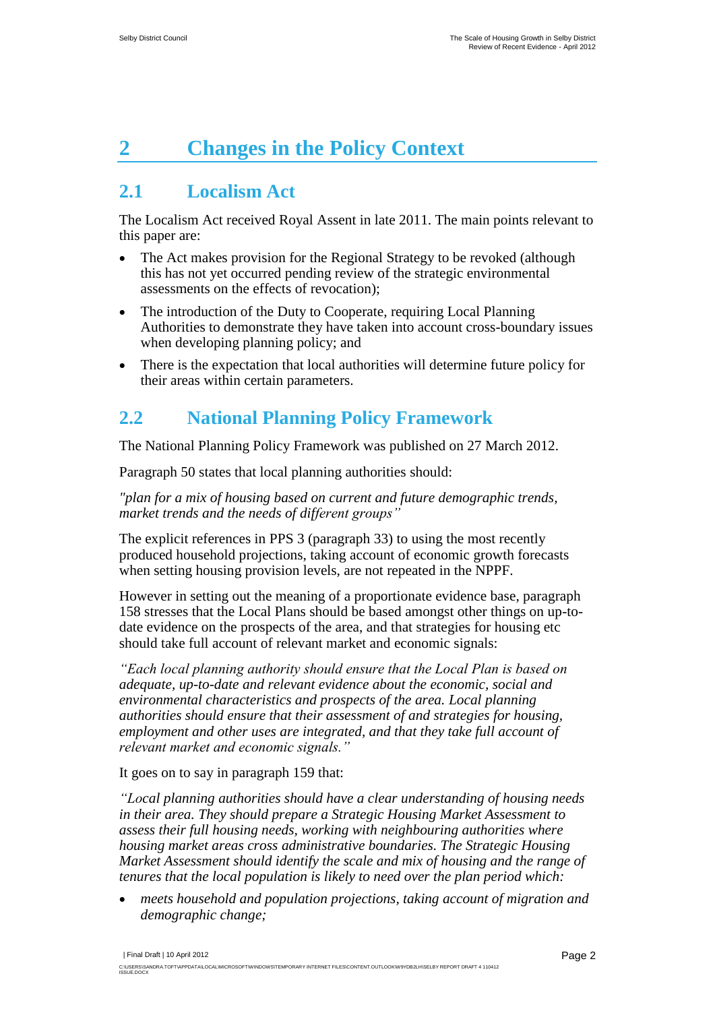# <span id="page-3-0"></span>**2 Changes in the Policy Context**

### <span id="page-3-1"></span>**2.1 Localism Act**

The Localism Act received Royal Assent in late 2011. The main points relevant to this paper are:

- The Act makes provision for the Regional Strategy to be revoked (although this has not yet occurred pending review of the strategic environmental assessments on the effects of revocation);
- The introduction of the Duty to Cooperate, requiring Local Planning Authorities to demonstrate they have taken into account cross-boundary issues when developing planning policy; and
- There is the expectation that local authorities will determine future policy for their areas within certain parameters.

### <span id="page-3-2"></span>**2.2 National Planning Policy Framework**

The National Planning Policy Framework was published on 27 March 2012.

Paragraph 50 states that local planning authorities should:

*"plan for a mix of housing based on current and future demographic trends, market trends and the needs of different groups"*

The explicit references in PPS 3 (paragraph 33) to using the most recently produced household projections, taking account of economic growth forecasts when setting housing provision levels, are not repeated in the NPPF.

However in setting out the meaning of a proportionate evidence base, paragraph 158 stresses that the Local Plans should be based amongst other things on up-todate evidence on the prospects of the area, and that strategies for housing etc should take full account of relevant market and economic signals:

*"Each local planning authority should ensure that the Local Plan is based on adequate, up-to-date and relevant evidence about the economic, social and environmental characteristics and prospects of the area. Local planning authorities should ensure that their assessment of and strategies for housing, employment and other uses are integrated, and that they take full account of relevant market and economic signals."*

It goes on to say in paragraph 159 that:

*"Local planning authorities should have a clear understanding of housing needs in their area. They should prepare a Strategic Housing Market Assessment to assess their full housing needs, working with neighbouring authorities where housing market areas cross administrative boundaries. The Strategic Housing Market Assessment should identify the scale and mix of housing and the range of tenures that the local population is likely to need over the plan period which:*

 *meets household and population projections, taking account of migration and demographic change;*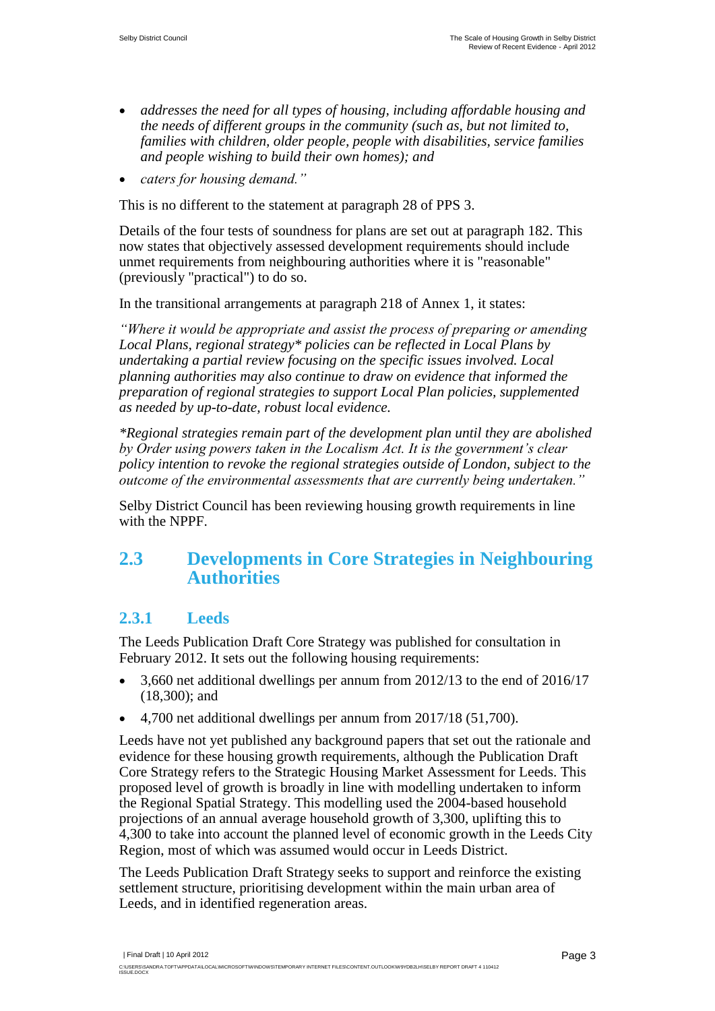- *addresses the need for all types of housing, including affordable housing and the needs of different groups in the community (such as, but not limited to, families with children, older people, people with disabilities, service families and people wishing to build their own homes); and*
- *caters for housing demand."*

This is no different to the statement at paragraph 28 of PPS 3.

Details of the four tests of soundness for plans are set out at paragraph 182. This now states that objectively assessed development requirements should include unmet requirements from neighbouring authorities where it is "reasonable" (previously "practical") to do so.

In the transitional arrangements at paragraph 218 of Annex 1, it states:

*"Where it would be appropriate and assist the process of preparing or amending Local Plans, regional strategy\* policies can be reflected in Local Plans by undertaking a partial review focusing on the specific issues involved. Local planning authorities may also continue to draw on evidence that informed the preparation of regional strategies to support Local Plan policies, supplemented as needed by up-to-date, robust local evidence.*

*\*Regional strategies remain part of the development plan until they are abolished by Order using powers taken in the Localism Act. It is the government's clear policy intention to revoke the regional strategies outside of London, subject to the outcome of the environmental assessments that are currently being undertaken."*

Selby District Council has been reviewing housing growth requirements in line with the NPPF.

#### <span id="page-4-0"></span>**2.3 Developments in Core Strategies in Neighbouring Authorities**

#### **2.3.1 Leeds**

The Leeds Publication Draft Core Strategy was published for consultation in February 2012. It sets out the following housing requirements:

- 3,660 net additional dwellings per annum from 2012/13 to the end of 2016/17 (18,300); and
- 4,700 net additional dwellings per annum from 2017/18 (51,700).

Leeds have not yet published any background papers that set out the rationale and evidence for these housing growth requirements, although the Publication Draft Core Strategy refers to the Strategic Housing Market Assessment for Leeds. This proposed level of growth is broadly in line with modelling undertaken to inform the Regional Spatial Strategy. This modelling used the 2004-based household projections of an annual average household growth of 3,300, uplifting this to 4,300 to take into account the planned level of economic growth in the Leeds City Region, most of which was assumed would occur in Leeds District.

The Leeds Publication Draft Strategy seeks to support and reinforce the existing settlement structure, prioritising development within the main urban area of Leeds, and in identified regeneration areas.

| Final Draft | 10 April 2012 C:\USERS\SANDRA.TOFT\APPDATA\LOCAL\MICROSOFT\WINDOWS\TEMPORARY INTERNET FILES\CONTENT.OUTLOOK\W9YDB2LH\SELBY REPORT DRAFT 4 110412<br>ISSUE.DOCX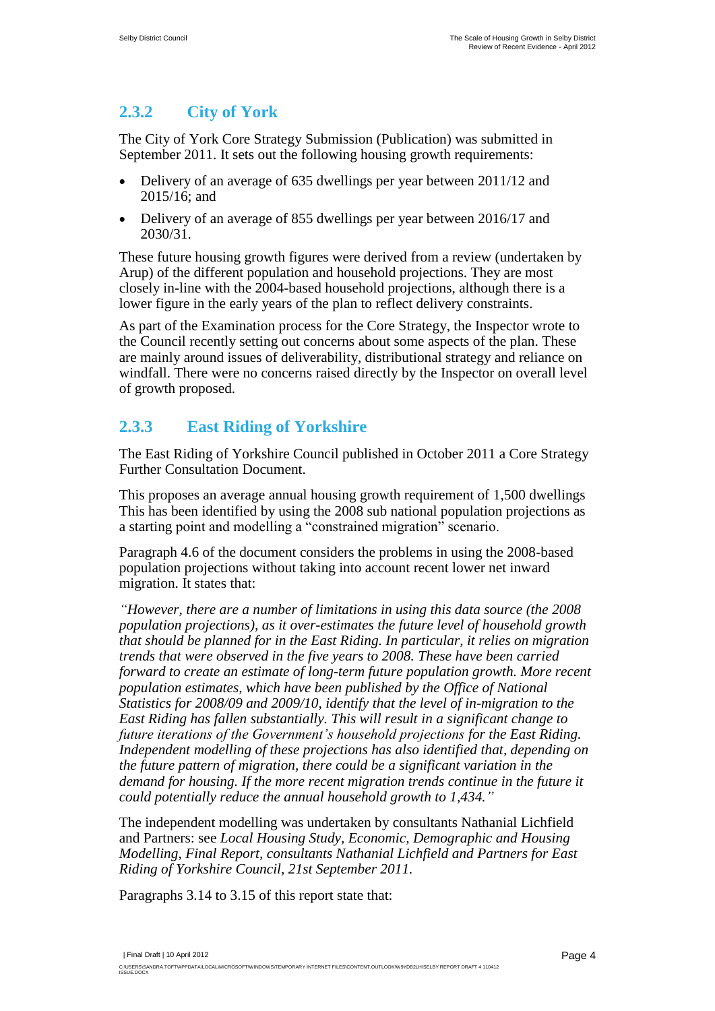#### **2.3.2 City of York**

The City of York Core Strategy Submission (Publication) was submitted in September 2011. It sets out the following housing growth requirements:

- Delivery of an average of 635 dwellings per year between 2011/12 and 2015/16; and
- Delivery of an average of 855 dwellings per year between 2016/17 and 2030/31.

These future housing growth figures were derived from a review (undertaken by Arup) of the different population and household projections. They are most closely in-line with the 2004-based household projections, although there is a lower figure in the early years of the plan to reflect delivery constraints.

As part of the Examination process for the Core Strategy, the Inspector wrote to the Council recently setting out concerns about some aspects of the plan. These are mainly around issues of deliverability, distributional strategy and reliance on windfall. There were no concerns raised directly by the Inspector on overall level of growth proposed.

### **2.3.3 East Riding of Yorkshire**

The East Riding of Yorkshire Council published in October 2011 a Core Strategy Further Consultation Document.

This proposes an average annual housing growth requirement of 1,500 dwellings This has been identified by using the 2008 sub national population projections as a starting point and modelling a "constrained migration" scenario.

Paragraph 4.6 of the document considers the problems in using the 2008-based population projections without taking into account recent lower net inward migration. It states that:

*"However, there are a number of limitations in using this data source (the 2008 population projections), as it over-estimates the future level of household growth that should be planned for in the East Riding. In particular, it relies on migration trends that were observed in the five years to 2008. These have been carried forward to create an estimate of long-term future population growth. More recent population estimates, which have been published by the Office of National Statistics for 2008/09 and 2009/10, identify that the level of in-migration to the East Riding has fallen substantially. This will result in a significant change to future iterations of the Government's household projections for the East Riding. Independent modelling of these projections has also identified that, depending on the future pattern of migration, there could be a significant variation in the demand for housing. If the more recent migration trends continue in the future it could potentially reduce the annual household growth to 1,434."*

The independent modelling was undertaken by consultants Nathanial Lichfield and Partners: see *Local Housing Study, Economic, Demographic and Housing Modelling, Final Report, consultants Nathanial Lichfield and Partners for East Riding of Yorkshire Council, 21st September 2011.*

Paragraphs 3.14 to 3.15 of this report state that:

| Final Draft | 10 April 2012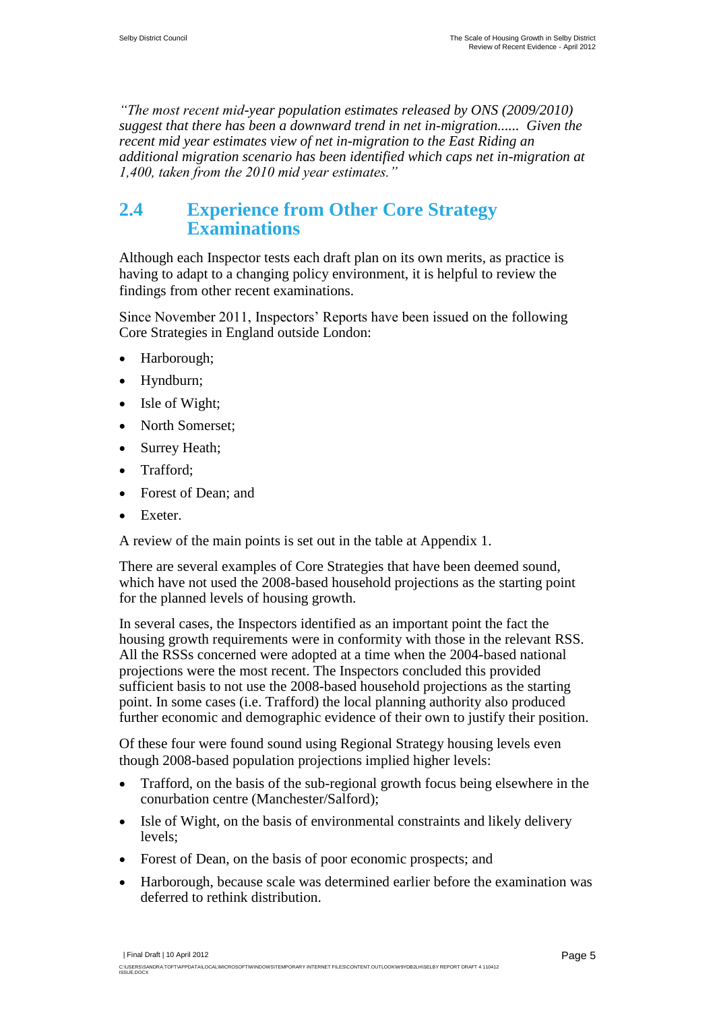*"The most recent mid-year population estimates released by ONS (2009/2010) suggest that there has been a downward trend in net in-migration...... Given the recent mid year estimates view of net in-migration to the East Riding an additional migration scenario has been identified which caps net in-migration at 1,400, taken from the 2010 mid year estimates."*

### <span id="page-6-0"></span>**2.4 Experience from Other Core Strategy Examinations**

Although each Inspector tests each draft plan on its own merits, as practice is having to adapt to a changing policy environment, it is helpful to review the findings from other recent examinations.

Since November 2011, Inspectors" Reports have been issued on the following Core Strategies in England outside London:

- Harborough;
- Hyndburn;
- Isle of Wight;
- North Somerset;
- Surrey Heath;
- Trafford;
- Forest of Dean; and
- Exeter.

A review of the main points is set out in the table at Appendix 1.

There are several examples of Core Strategies that have been deemed sound, which have not used the 2008-based household projections as the starting point for the planned levels of housing growth.

In several cases, the Inspectors identified as an important point the fact the housing growth requirements were in conformity with those in the relevant RSS. All the RSSs concerned were adopted at a time when the 2004-based national projections were the most recent. The Inspectors concluded this provided sufficient basis to not use the 2008-based household projections as the starting point. In some cases (i.e. Trafford) the local planning authority also produced further economic and demographic evidence of their own to justify their position.

Of these four were found sound using Regional Strategy housing levels even though 2008-based population projections implied higher levels:

- Trafford, on the basis of the sub-regional growth focus being elsewhere in the conurbation centre (Manchester/Salford);
- Isle of Wight, on the basis of environmental constraints and likely delivery levels;
- Forest of Dean, on the basis of poor economic prospects; and
- Harborough, because scale was determined earlier before the examination was deferred to rethink distribution.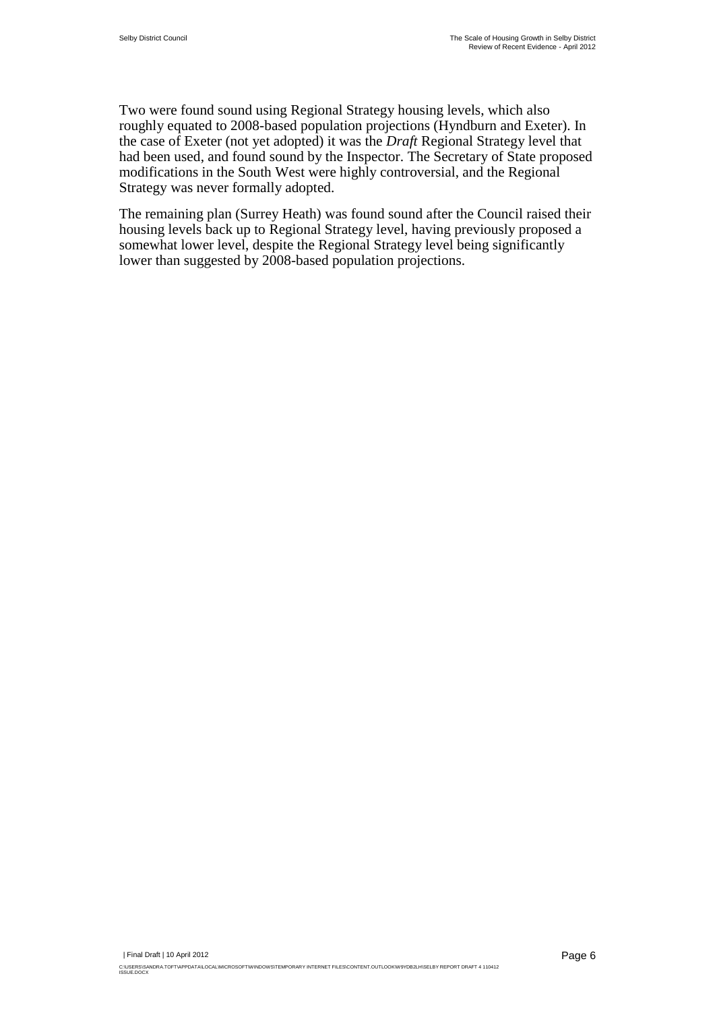Two were found sound using Regional Strategy housing levels, which also roughly equated to 2008-based population projections (Hyndburn and Exeter). In the case of Exeter (not yet adopted) it was the *Draft* Regional Strategy level that had been used, and found sound by the Inspector. The Secretary of State proposed modifications in the South West were highly controversial, and the Regional Strategy was never formally adopted.

The remaining plan (Surrey Heath) was found sound after the Council raised their housing levels back up to Regional Strategy level, having previously proposed a somewhat lower level, despite the Regional Strategy level being significantly lower than suggested by 2008-based population projections.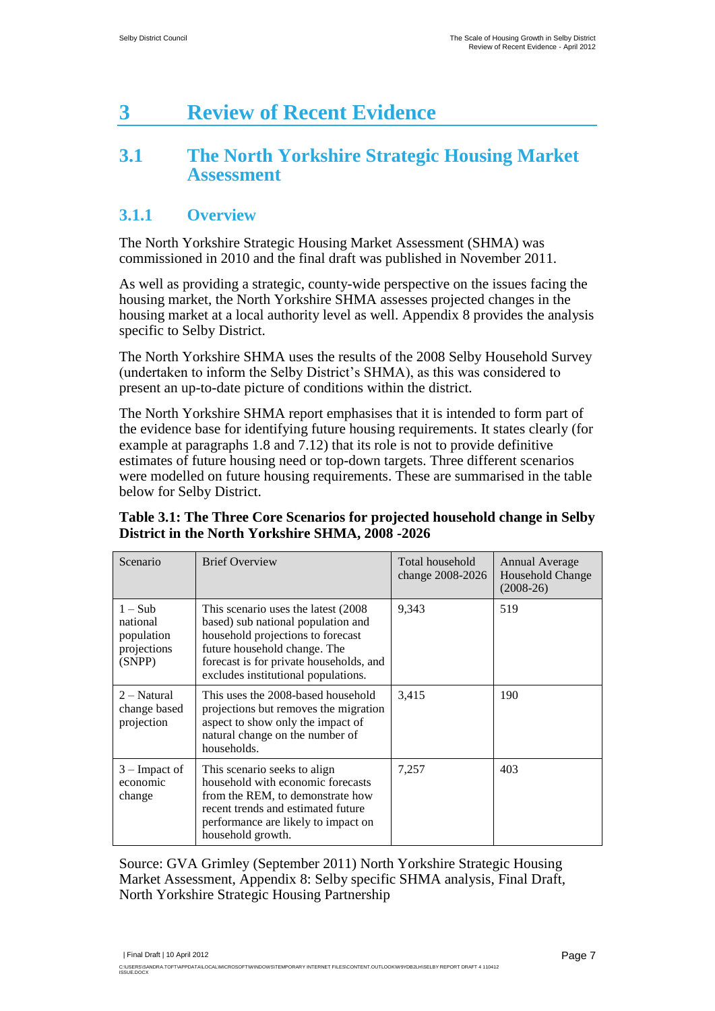# <span id="page-8-0"></span>**3 Review of Recent Evidence**

### <span id="page-8-1"></span>**3.1 The North Yorkshire Strategic Housing Market Assessment**

#### **3.1.1 Overview**

The North Yorkshire Strategic Housing Market Assessment (SHMA) was commissioned in 2010 and the final draft was published in November 2011.

As well as providing a strategic, county-wide perspective on the issues facing the housing market, the North Yorkshire SHMA assesses projected changes in the housing market at a local authority level as well. Appendix 8 provides the analysis specific to Selby District.

The North Yorkshire SHMA uses the results of the 2008 Selby Household Survey (undertaken to inform the Selby District's SHMA), as this was considered to present an up-to-date picture of conditions within the district.

The North Yorkshire SHMA report emphasises that it is intended to form part of the evidence base for identifying future housing requirements. It states clearly (for example at paragraphs 1.8 and 7.12) that its role is not to provide definitive estimates of future housing need or top-down targets. Three different scenarios were modelled on future housing requirements. These are summarised in the table below for Selby District.

#### **Table 3.1: The Three Core Scenarios for projected household change in Selby District in the North Yorkshire SHMA, 2008 -2026**

| Scenario                                                   | <b>Brief Overview</b>                                                                                                                                                                                                             | Total household<br>change 2008-2026 | Annual Average<br>Household Change<br>$(2008-26)$ |
|------------------------------------------------------------|-----------------------------------------------------------------------------------------------------------------------------------------------------------------------------------------------------------------------------------|-------------------------------------|---------------------------------------------------|
| $1-Sub$<br>national<br>population<br>projections<br>(SNPP) | This scenario uses the latest (2008)<br>based) sub national population and<br>household projections to forecast<br>future household change. The<br>forecast is for private households, and<br>excludes institutional populations. | 9,343                               | 519                                               |
| 2 – Natural<br>change based<br>projection                  | This uses the 2008-based household<br>projections but removes the migration<br>aspect to show only the impact of<br>natural change on the number of<br>households.                                                                | 3,415                               | 190                                               |
| $3$ – Impact of<br>economic<br>change                      | This scenario seeks to align<br>household with economic forecasts<br>from the REM, to demonstrate how<br>recent trends and estimated future<br>performance are likely to impact on<br>household growth.                           | 7,257                               | 403                                               |

Source: GVA Grimley (September 2011) North Yorkshire Strategic Housing Market Assessment, Appendix 8: Selby specific SHMA analysis, Final Draft, North Yorkshire Strategic Housing Partnership

| Final Draft | 10 April 2012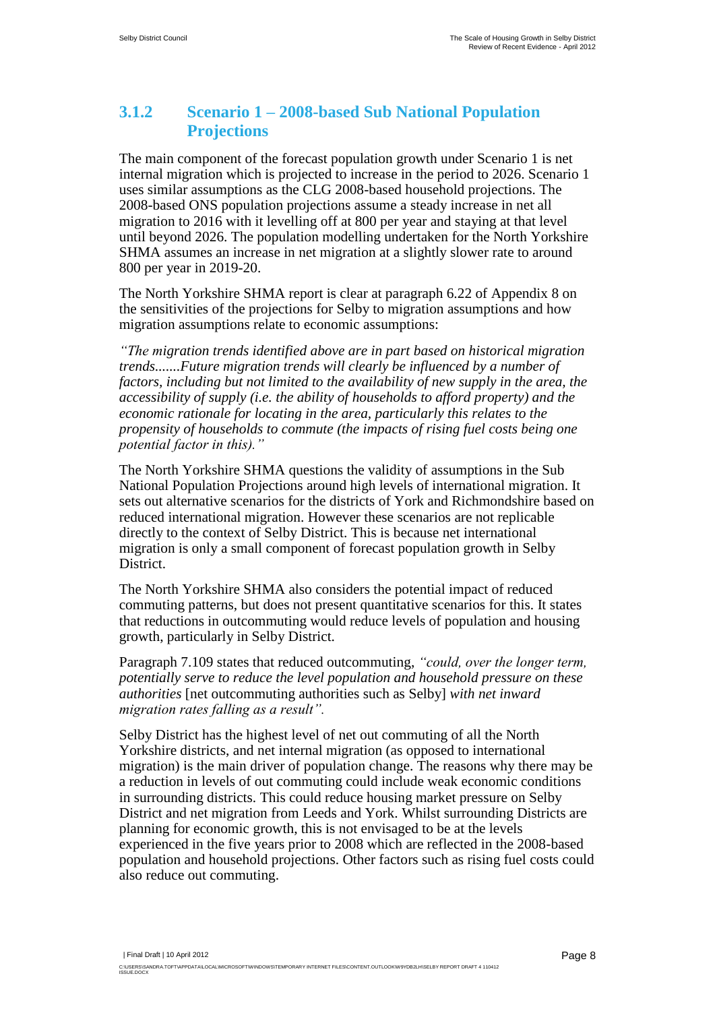#### **3.1.2 Scenario 1 – 2008-based Sub National Population Projections**

The main component of the forecast population growth under Scenario 1 is net internal migration which is projected to increase in the period to 2026. Scenario 1 uses similar assumptions as the CLG 2008-based household projections. The 2008-based ONS population projections assume a steady increase in net all migration to 2016 with it levelling off at 800 per year and staying at that level until beyond 2026. The population modelling undertaken for the North Yorkshire SHMA assumes an increase in net migration at a slightly slower rate to around 800 per year in 2019-20.

The North Yorkshire SHMA report is clear at paragraph 6.22 of Appendix 8 on the sensitivities of the projections for Selby to migration assumptions and how migration assumptions relate to economic assumptions:

*"The migration trends identified above are in part based on historical migration trends.......Future migration trends will clearly be influenced by a number of factors, including but not limited to the availability of new supply in the area, the accessibility of supply (i.e. the ability of households to afford property) and the economic rationale for locating in the area, particularly this relates to the propensity of households to commute (the impacts of rising fuel costs being one potential factor in this)."*

The North Yorkshire SHMA questions the validity of assumptions in the Sub National Population Projections around high levels of international migration. It sets out alternative scenarios for the districts of York and Richmondshire based on reduced international migration. However these scenarios are not replicable directly to the context of Selby District. This is because net international migration is only a small component of forecast population growth in Selby District.

The North Yorkshire SHMA also considers the potential impact of reduced commuting patterns, but does not present quantitative scenarios for this. It states that reductions in outcommuting would reduce levels of population and housing growth, particularly in Selby District.

Paragraph 7.109 states that reduced outcommuting, *"could, over the longer term, potentially serve to reduce the level population and household pressure on these authorities* [net outcommuting authorities such as Selby] *with net inward migration rates falling as a result".*

Selby District has the highest level of net out commuting of all the North Yorkshire districts, and net internal migration (as opposed to international migration) is the main driver of population change. The reasons why there may be a reduction in levels of out commuting could include weak economic conditions in surrounding districts. This could reduce housing market pressure on Selby District and net migration from Leeds and York. Whilst surrounding Districts are planning for economic growth, this is not envisaged to be at the levels experienced in the five years prior to 2008 which are reflected in the 2008-based population and household projections. Other factors such as rising fuel costs could also reduce out commuting.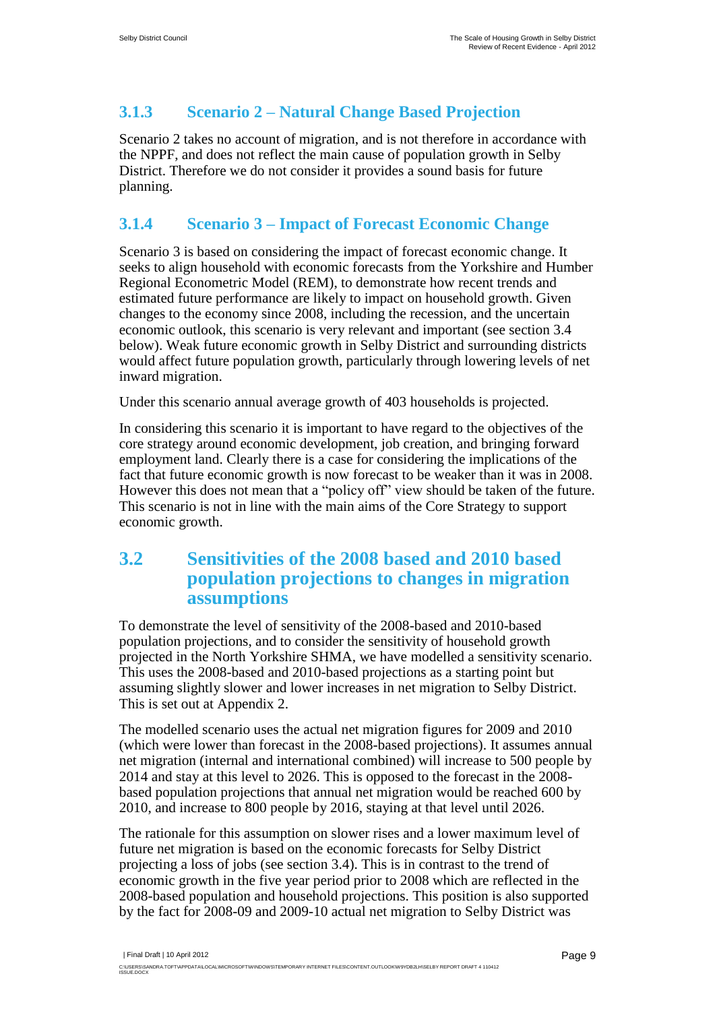#### **3.1.3 Scenario 2 – Natural Change Based Projection**

Scenario 2 takes no account of migration, and is not therefore in accordance with the NPPF, and does not reflect the main cause of population growth in Selby District. Therefore we do not consider it provides a sound basis for future planning.

#### **3.1.4 Scenario 3 – Impact of Forecast Economic Change**

Scenario 3 is based on considering the impact of forecast economic change. It seeks to align household with economic forecasts from the Yorkshire and Humber Regional Econometric Model (REM), to demonstrate how recent trends and estimated future performance are likely to impact on household growth. Given changes to the economy since 2008, including the recession, and the uncertain economic outlook, this scenario is very relevant and important (see section 3.4 below). Weak future economic growth in Selby District and surrounding districts would affect future population growth, particularly through lowering levels of net inward migration.

Under this scenario annual average growth of 403 households is projected.

In considering this scenario it is important to have regard to the objectives of the core strategy around economic development, job creation, and bringing forward employment land. Clearly there is a case for considering the implications of the fact that future economic growth is now forecast to be weaker than it was in 2008. However this does not mean that a "policy off" view should be taken of the future. This scenario is not in line with the main aims of the Core Strategy to support economic growth.

### <span id="page-10-0"></span>**3.2 Sensitivities of the 2008 based and 2010 based population projections to changes in migration assumptions**

To demonstrate the level of sensitivity of the 2008-based and 2010-based population projections, and to consider the sensitivity of household growth projected in the North Yorkshire SHMA, we have modelled a sensitivity scenario. This uses the 2008-based and 2010-based projections as a starting point but assuming slightly slower and lower increases in net migration to Selby District. This is set out at Appendix 2.

The modelled scenario uses the actual net migration figures for 2009 and 2010 (which were lower than forecast in the 2008-based projections). It assumes annual net migration (internal and international combined) will increase to 500 people by 2014 and stay at this level to 2026. This is opposed to the forecast in the 2008 based population projections that annual net migration would be reached 600 by 2010, and increase to 800 people by 2016, staying at that level until 2026.

The rationale for this assumption on slower rises and a lower maximum level of future net migration is based on the economic forecasts for Selby District projecting a loss of jobs (see section 3.4). This is in contrast to the trend of economic growth in the five year period prior to 2008 which are reflected in the 2008-based population and household projections. This position is also supported by the fact for 2008-09 and 2009-10 actual net migration to Selby District was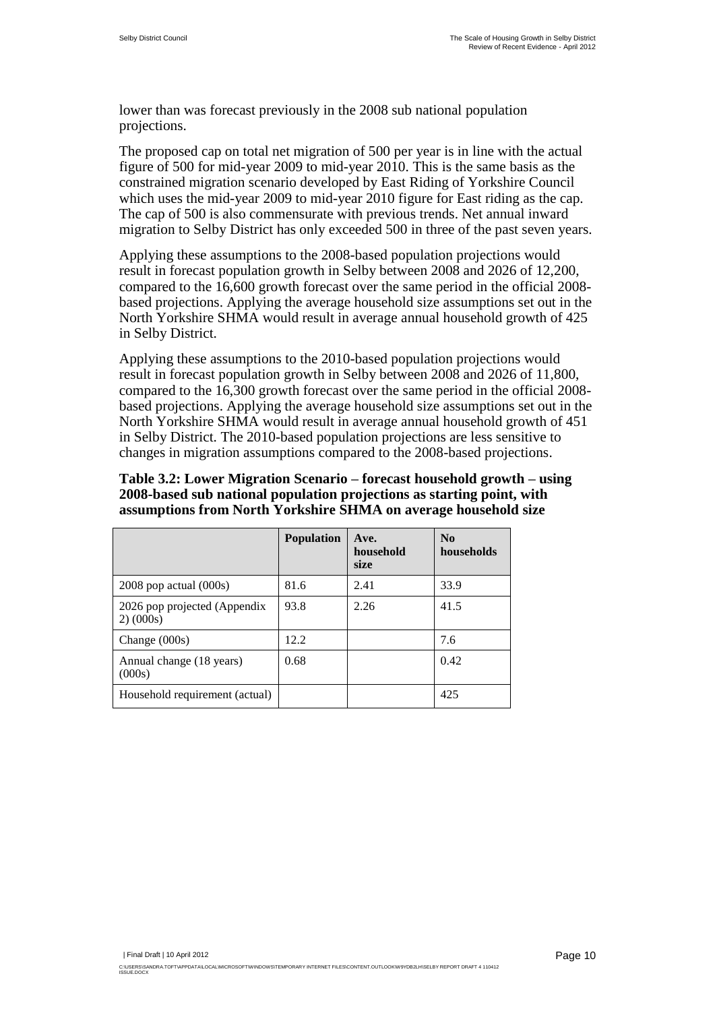lower than was forecast previously in the 2008 sub national population projections.

The proposed cap on total net migration of 500 per year is in line with the actual figure of 500 for mid-year 2009 to mid-year 2010. This is the same basis as the constrained migration scenario developed by East Riding of Yorkshire Council which uses the mid-year 2009 to mid-year 2010 figure for East riding as the cap. The cap of 500 is also commensurate with previous trends. Net annual inward migration to Selby District has only exceeded 500 in three of the past seven years.

Applying these assumptions to the 2008-based population projections would result in forecast population growth in Selby between 2008 and 2026 of 12,200, compared to the 16,600 growth forecast over the same period in the official 2008 based projections. Applying the average household size assumptions set out in the North Yorkshire SHMA would result in average annual household growth of 425 in Selby District.

Applying these assumptions to the 2010-based population projections would result in forecast population growth in Selby between 2008 and 2026 of 11,800, compared to the 16,300 growth forecast over the same period in the official 2008 based projections. Applying the average household size assumptions set out in the North Yorkshire SHMA would result in average annual household growth of 451 in Selby District. The 2010-based population projections are less sensitive to changes in migration assumptions compared to the 2008-based projections.

**Table 3.2: Lower Migration Scenario – forecast household growth – using 2008-based sub national population projections as starting point, with assumptions from North Yorkshire SHMA on average household size**

|                                           | <b>Population</b> | Ave.<br>household<br>size | N <sub>0</sub><br>households |
|-------------------------------------------|-------------------|---------------------------|------------------------------|
| $2008$ pop actual $(000s)$                | 81.6              | 2.41                      | 33.9                         |
| 2026 pop projected (Appendix<br>2) (000s) | 93.8              | 2.26                      | 41.5                         |
| Change $(000s)$                           | 12.2.             |                           | 7.6                          |
| Annual change (18 years)<br>(000s)        | 0.68              |                           | 0.42                         |
| Household requirement (actual)            |                   |                           | 425                          |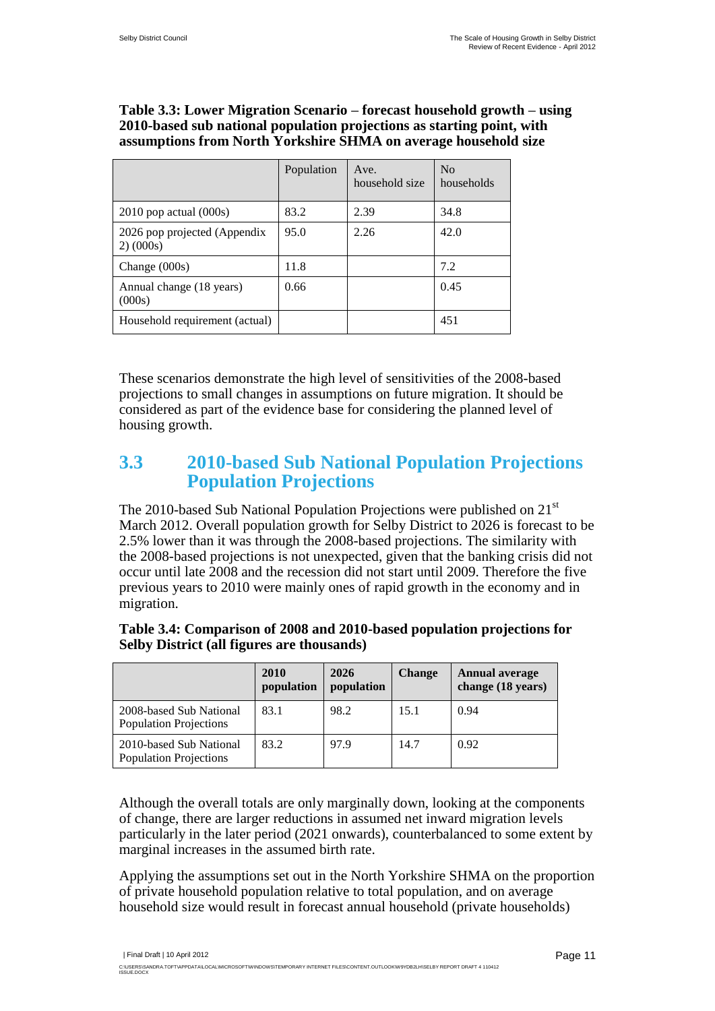#### **Table 3.3: Lower Migration Scenario – forecast household growth – using 2010-based sub national population projections as starting point, with assumptions from North Yorkshire SHMA on average household size**

|                                           | Population | Ave.<br>household size | N <sub>0</sub><br>households |
|-------------------------------------------|------------|------------------------|------------------------------|
| $2010$ pop actual $(000s)$                | 83.2       | 2.39                   | 34.8                         |
| 2026 pop projected (Appendix<br>2) (000s) | 95.0       | 2.26                   | 42.0                         |
| Change $(000s)$                           | 11.8       |                        | 7.2                          |
| Annual change (18 years)<br>(000s)        | 0.66       |                        | 0.45                         |
| Household requirement (actual)            |            |                        | 451                          |

These scenarios demonstrate the high level of sensitivities of the 2008-based projections to small changes in assumptions on future migration. It should be considered as part of the evidence base for considering the planned level of housing growth.

#### <span id="page-12-0"></span>**3.3 2010-based Sub National Population Projections Population Projections**

The 2010-based Sub National Population Projections were published on  $21<sup>st</sup>$ March 2012. Overall population growth for Selby District to 2026 is forecast to be 2.5% lower than it was through the 2008-based projections. The similarity with the 2008-based projections is not unexpected, given that the banking crisis did not occur until late 2008 and the recession did not start until 2009. Therefore the five previous years to 2010 were mainly ones of rapid growth in the economy and in migration.

|                                                          | 2010<br>population | 2026<br>population | <b>Change</b> | <b>Annual average</b><br>change (18 years) |
|----------------------------------------------------------|--------------------|--------------------|---------------|--------------------------------------------|
| 2008-based Sub National<br><b>Population Projections</b> | 83.1               | 98.2               | 15.1          | 0.94                                       |
| 2010-based Sub National<br><b>Population Projections</b> | 83.2               | 97.9               | 14.7          | 0.92                                       |

#### **Table 3.4: Comparison of 2008 and 2010-based population projections for Selby District (all figures are thousands)**

Although the overall totals are only marginally down, looking at the components of change, there are larger reductions in assumed net inward migration levels particularly in the later period (2021 onwards), counterbalanced to some extent by marginal increases in the assumed birth rate.

Applying the assumptions set out in the North Yorkshire SHMA on the proportion of private household population relative to total population, and on average household size would result in forecast annual household (private households)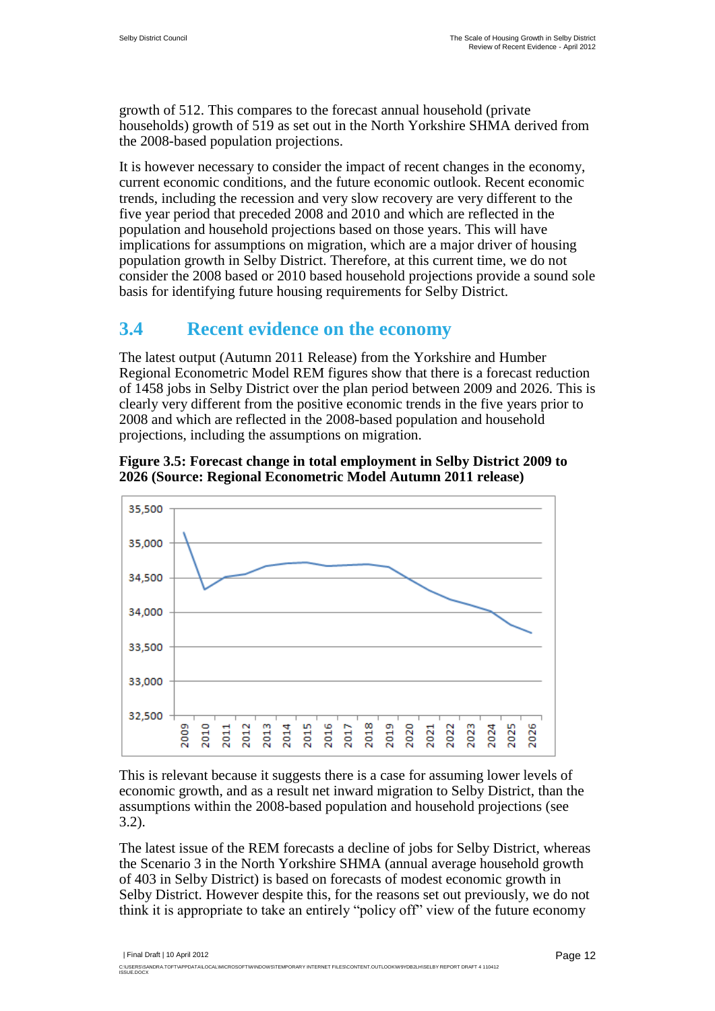growth of 512. This compares to the forecast annual household (private households) growth of 519 as set out in the North Yorkshire SHMA derived from the 2008-based population projections.

It is however necessary to consider the impact of recent changes in the economy, current economic conditions, and the future economic outlook. Recent economic trends, including the recession and very slow recovery are very different to the five year period that preceded 2008 and 2010 and which are reflected in the population and household projections based on those years. This will have implications for assumptions on migration, which are a major driver of housing population growth in Selby District. Therefore, at this current time, we do not consider the 2008 based or 2010 based household projections provide a sound sole basis for identifying future housing requirements for Selby District.

### <span id="page-13-0"></span>**3.4 Recent evidence on the economy**

The latest output (Autumn 2011 Release) from the Yorkshire and Humber Regional Econometric Model REM figures show that there is a forecast reduction of 1458 jobs in Selby District over the plan period between 2009 and 2026. This is clearly very different from the positive economic trends in the five years prior to 2008 and which are reflected in the 2008-based population and household projections, including the assumptions on migration.



**Figure 3.5: Forecast change in total employment in Selby District 2009 to 2026 (Source: Regional Econometric Model Autumn 2011 release)**

This is relevant because it suggests there is a case for assuming lower levels of economic growth, and as a result net inward migration to Selby District, than the assumptions within the 2008-based population and household projections (see 3.2).

The latest issue of the REM forecasts a decline of jobs for Selby District, whereas the Scenario 3 in the North Yorkshire SHMA (annual average household growth of 403 in Selby District) is based on forecasts of modest economic growth in Selby District. However despite this, for the reasons set out previously, we do not think it is appropriate to take an entirely "policy off" view of the future economy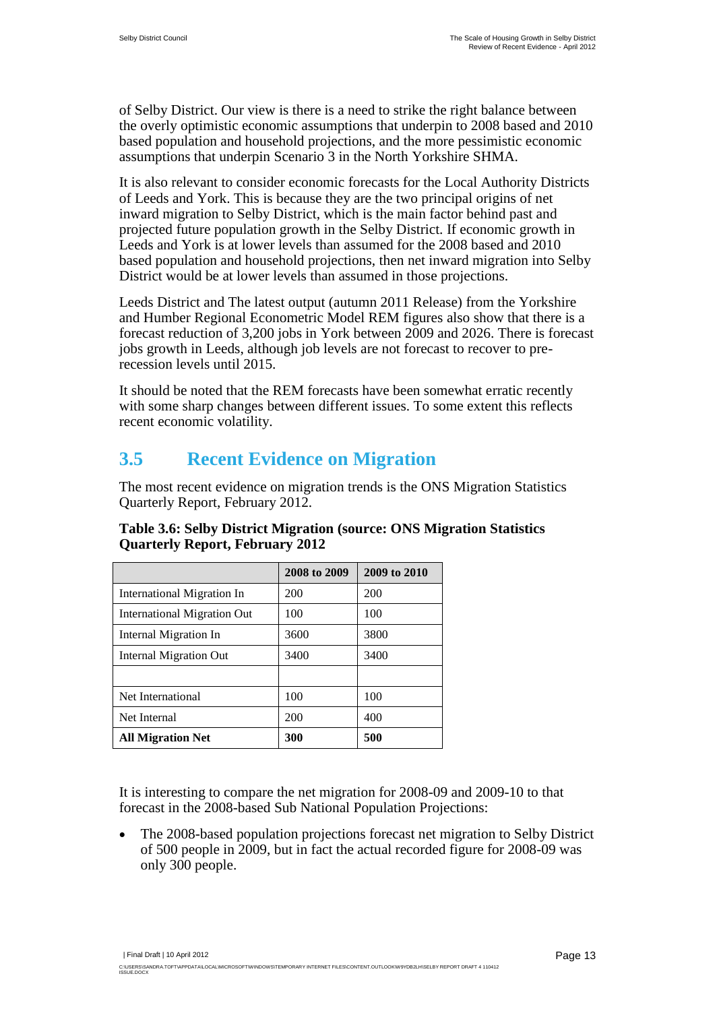of Selby District. Our view is there is a need to strike the right balance between the overly optimistic economic assumptions that underpin to 2008 based and 2010 based population and household projections, and the more pessimistic economic assumptions that underpin Scenario 3 in the North Yorkshire SHMA.

It is also relevant to consider economic forecasts for the Local Authority Districts of Leeds and York. This is because they are the two principal origins of net inward migration to Selby District, which is the main factor behind past and projected future population growth in the Selby District. If economic growth in Leeds and York is at lower levels than assumed for the 2008 based and 2010 based population and household projections, then net inward migration into Selby District would be at lower levels than assumed in those projections.

Leeds District and The latest output (autumn 2011 Release) from the Yorkshire and Humber Regional Econometric Model REM figures also show that there is a forecast reduction of 3,200 jobs in York between 2009 and 2026. There is forecast jobs growth in Leeds, although job levels are not forecast to recover to prerecession levels until 2015.

It should be noted that the REM forecasts have been somewhat erratic recently with some sharp changes between different issues. To some extent this reflects recent economic volatility.

### <span id="page-14-0"></span>**3.5 Recent Evidence on Migration**

The most recent evidence on migration trends is the ONS Migration Statistics Quarterly Report, February 2012.

|                             | 2008 to 2009 | 2009 to 2010 |
|-----------------------------|--------------|--------------|
| International Migration In  | 200          | 200          |
| International Migration Out | 100          | 100          |
| Internal Migration In       | 3600         | 3800         |
| Internal Migration Out      | 3400         | 3400         |
|                             |              |              |
| Net International           | 100          | 100          |
| Net Internal                | 200          | 400          |
| <b>All Migration Net</b>    | 300          | 500          |

#### **Table 3.6: Selby District Migration (source: ONS Migration Statistics Quarterly Report, February 2012**

It is interesting to compare the net migration for 2008-09 and 2009-10 to that forecast in the 2008-based Sub National Population Projections:

 The 2008-based population projections forecast net migration to Selby District of 500 people in 2009, but in fact the actual recorded figure for 2008-09 was only 300 people.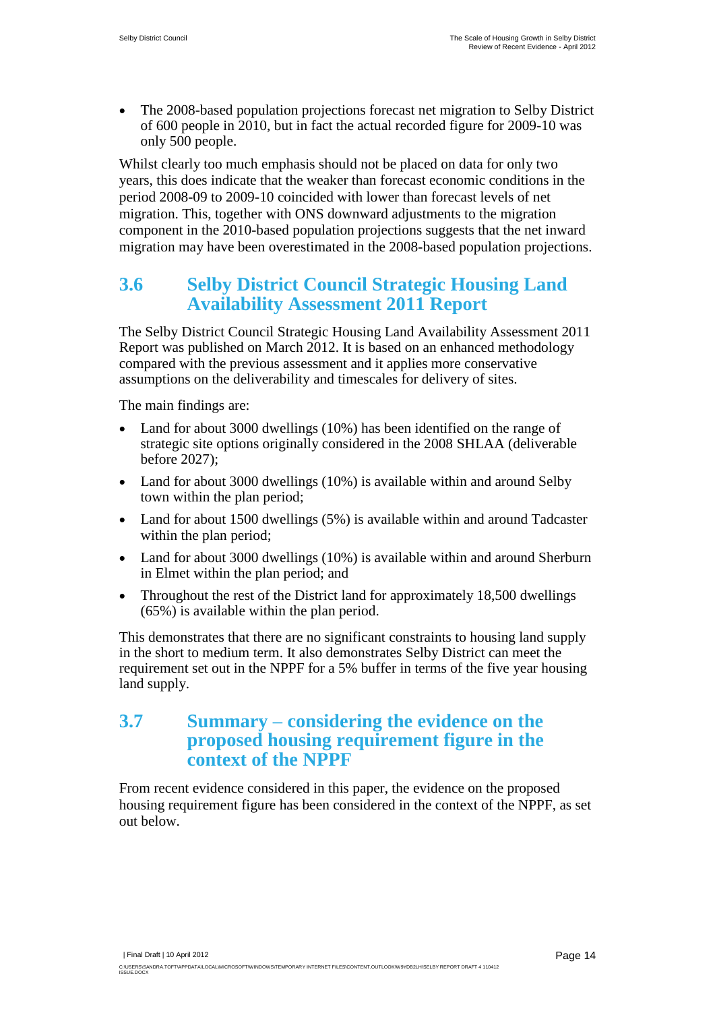The 2008-based population projections forecast net migration to Selby District of 600 people in 2010, but in fact the actual recorded figure for 2009-10 was only 500 people.

Whilst clearly too much emphasis should not be placed on data for only two years, this does indicate that the weaker than forecast economic conditions in the period 2008-09 to 2009-10 coincided with lower than forecast levels of net migration. This, together with ONS downward adjustments to the migration component in the 2010-based population projections suggests that the net inward migration may have been overestimated in the 2008-based population projections.

### <span id="page-15-0"></span>**3.6 Selby District Council Strategic Housing Land Availability Assessment 2011 Report**

The Selby District Council Strategic Housing Land Availability Assessment 2011 Report was published on March 2012. It is based on an enhanced methodology compared with the previous assessment and it applies more conservative assumptions on the deliverability and timescales for delivery of sites.

The main findings are:

- Land for about 3000 dwellings (10%) has been identified on the range of strategic site options originally considered in the 2008 SHLAA (deliverable before 2027);
- Land for about 3000 dwellings (10%) is available within and around Selby town within the plan period;
- Land for about 1500 dwellings (5%) is available within and around Tadcaster within the plan period;
- Land for about 3000 dwellings (10%) is available within and around Sherburn in Elmet within the plan period; and
- Throughout the rest of the District land for approximately 18,500 dwellings (65%) is available within the plan period.

This demonstrates that there are no significant constraints to housing land supply in the short to medium term. It also demonstrates Selby District can meet the requirement set out in the NPPF for a 5% buffer in terms of the five year housing land supply.

#### <span id="page-15-1"></span>**3.7 Summary – considering the evidence on the proposed housing requirement figure in the context of the NPPF**

From recent evidence considered in this paper, the evidence on the proposed housing requirement figure has been considered in the context of the NPPF, as set out below.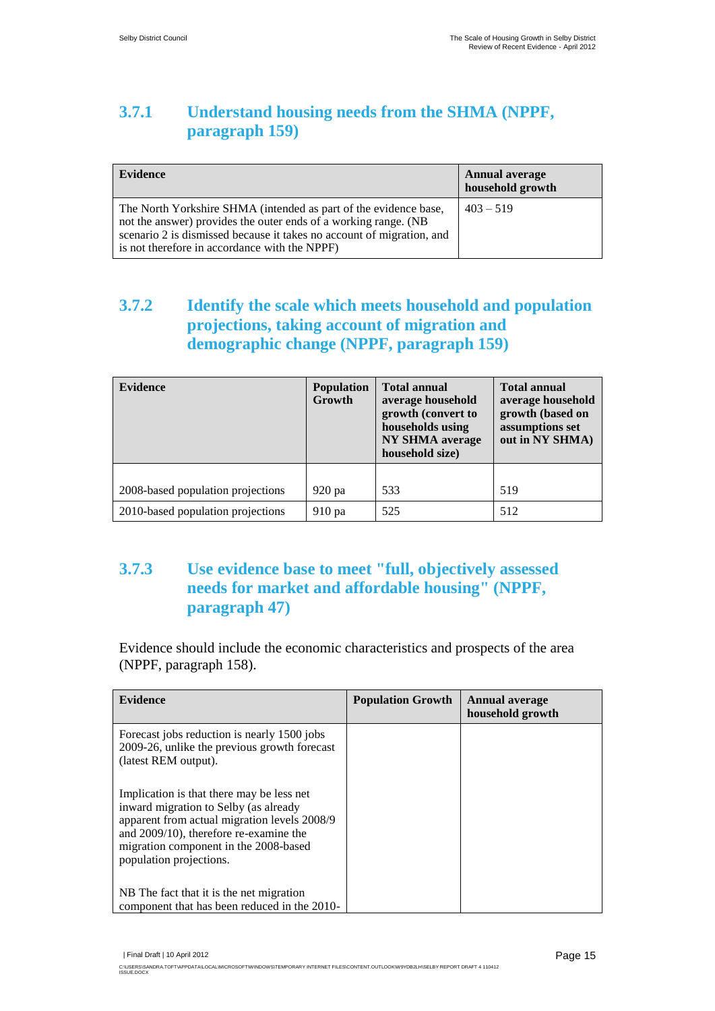### **3.7.1 Understand housing needs from the SHMA (NPPF, paragraph 159)**

| <b>Evidence</b>                                                                                                                                                                                                                                               | <b>Annual average</b><br>household growth |
|---------------------------------------------------------------------------------------------------------------------------------------------------------------------------------------------------------------------------------------------------------------|-------------------------------------------|
| The North Yorkshire SHMA (intended as part of the evidence base,<br>not the answer) provides the outer ends of a working range. (NB<br>scenario 2 is dismissed because it takes no account of migration, and<br>is not therefore in accordance with the NPPF) | $403 - 519$                               |

#### **3.7.2 Identify the scale which meets household and population projections, taking account of migration and demographic change (NPPF, paragraph 159)**

| <b>Evidence</b>                   | <b>Population</b><br>Growth | <b>Total annual</b><br>average household<br>growth (convert to<br>households using<br><b>NY SHMA</b> average<br>household size) | <b>Total annual</b><br>average household<br>growth (based on<br>assumptions set<br>out in NY SHMA) |
|-----------------------------------|-----------------------------|---------------------------------------------------------------------------------------------------------------------------------|----------------------------------------------------------------------------------------------------|
| 2008-based population projections | 920 pa                      | 533                                                                                                                             | 519                                                                                                |
| 2010-based population projections | 910 pa                      | 525                                                                                                                             | 512                                                                                                |

#### **3.7.3 Use evidence base to meet "full, objectively assessed needs for market and affordable housing" (NPPF, paragraph 47)**

Evidence should include the economic characteristics and prospects of the area (NPPF, paragraph 158).

| <b>Evidence</b>                                                                                                                                                                                                                                  | <b>Population Growth</b> | <b>Annual average</b><br>household growth |
|--------------------------------------------------------------------------------------------------------------------------------------------------------------------------------------------------------------------------------------------------|--------------------------|-------------------------------------------|
| Forecast jobs reduction is nearly 1500 jobs<br>2009-26, unlike the previous growth forecast<br>(latest REM output).                                                                                                                              |                          |                                           |
| Implication is that there may be less net<br>inward migration to Selby (as already<br>apparent from actual migration levels 2008/9<br>and 2009/10), therefore re-examine the<br>migration component in the 2008-based<br>population projections. |                          |                                           |
| NB The fact that it is the net migration<br>component that has been reduced in the 2010-                                                                                                                                                         |                          |                                           |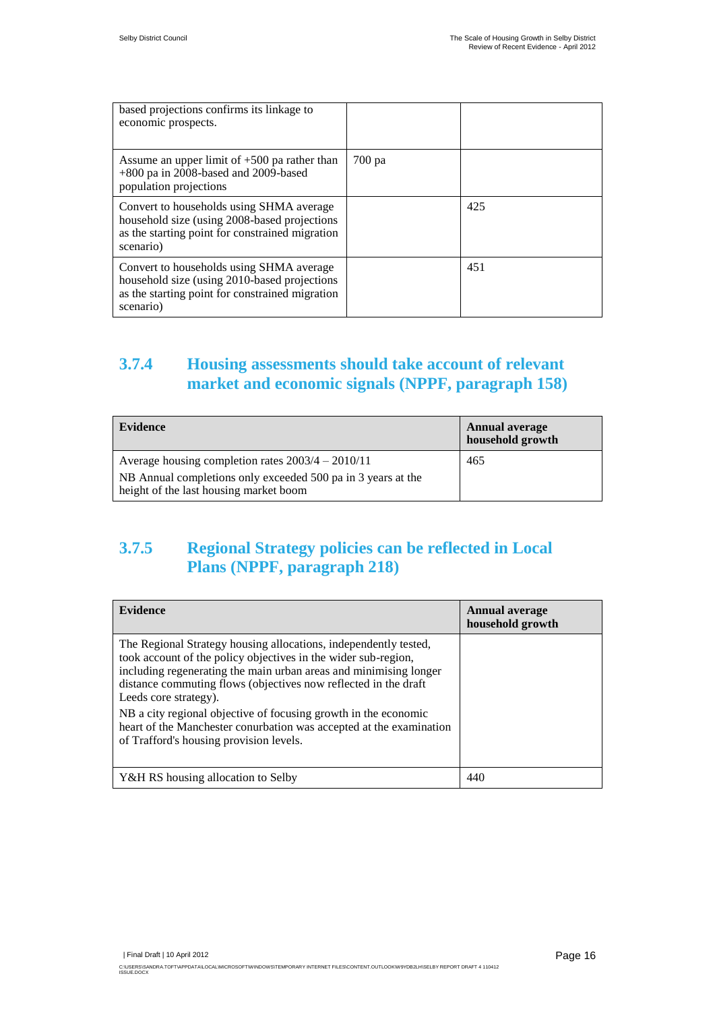| based projections confirms its linkage to<br>economic prospects.                                                                                          |        |     |
|-----------------------------------------------------------------------------------------------------------------------------------------------------------|--------|-----|
| Assume an upper limit of $+500$ pa rather than<br>+800 pa in 2008-based and 2009-based<br>population projections                                          | 700 pa |     |
| Convert to households using SHMA average<br>household size (using 2008-based projections)<br>as the starting point for constrained migration<br>scenario) |        | 425 |
| Convert to households using SHMA average<br>household size (using 2010-based projections)<br>as the starting point for constrained migration<br>scenario) |        | 451 |

### **3.7.4 Housing assessments should take account of relevant market and economic signals (NPPF, paragraph 158)**

| Evidence                                                                                               | <b>Annual average</b><br>household growth |
|--------------------------------------------------------------------------------------------------------|-------------------------------------------|
| Average housing completion rates $2003/4 - 2010/11$                                                    | 465                                       |
| NB Annual completions only exceeded 500 pa in 3 years at the<br>height of the last housing market boom |                                           |

### **3.7.5 Regional Strategy policies can be reflected in Local Plans (NPPF, paragraph 218)**

| <b>Evidence</b>                                                                                                                                                                                                                                                                                                                                                                                                                                                                          | <b>Annual average</b><br>household growth |
|------------------------------------------------------------------------------------------------------------------------------------------------------------------------------------------------------------------------------------------------------------------------------------------------------------------------------------------------------------------------------------------------------------------------------------------------------------------------------------------|-------------------------------------------|
| The Regional Strategy housing allocations, independently tested,<br>took account of the policy objectives in the wider sub-region,<br>including regenerating the main urban areas and minimising longer<br>distance commuting flows (objectives now reflected in the draft<br>Leeds core strategy).<br>NB a city regional objective of focusing growth in the economic<br>heart of the Manchester conurbation was accepted at the examination<br>of Trafford's housing provision levels. |                                           |
| Y&H RS housing allocation to Selby                                                                                                                                                                                                                                                                                                                                                                                                                                                       | 440                                       |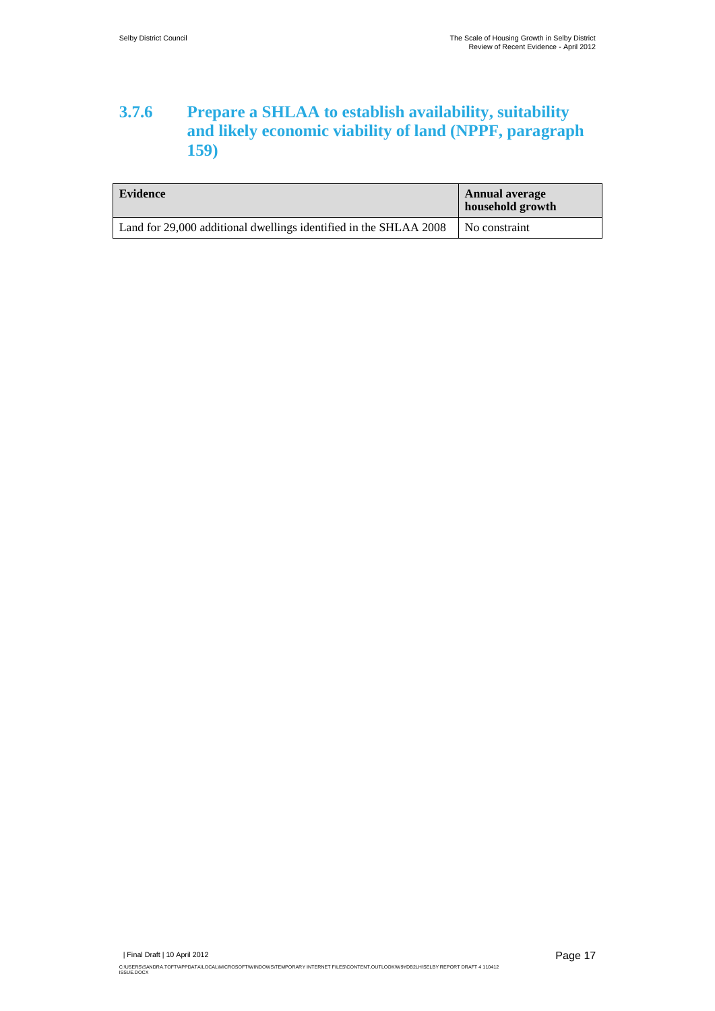#### **3.7.6 Prepare a SHLAA to establish availability, suitability and likely economic viability of land (NPPF, paragraph 159)**

| Evidence                                                          | <b>Annual average</b><br>household growth |
|-------------------------------------------------------------------|-------------------------------------------|
| Land for 29,000 additional dwellings identified in the SHLAA 2008 | No constraint                             |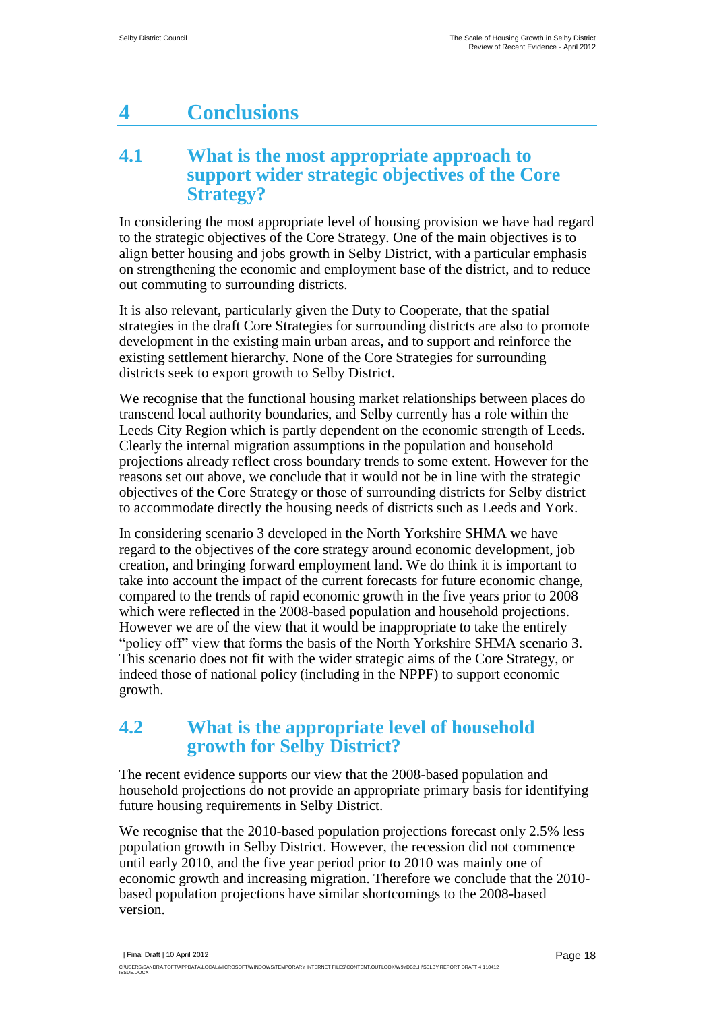# <span id="page-19-0"></span>**4 Conclusions**

### <span id="page-19-1"></span>**4.1 What is the most appropriate approach to support wider strategic objectives of the Core Strategy?**

In considering the most appropriate level of housing provision we have had regard to the strategic objectives of the Core Strategy. One of the main objectives is to align better housing and jobs growth in Selby District, with a particular emphasis on strengthening the economic and employment base of the district, and to reduce out commuting to surrounding districts.

It is also relevant, particularly given the Duty to Cooperate, that the spatial strategies in the draft Core Strategies for surrounding districts are also to promote development in the existing main urban areas, and to support and reinforce the existing settlement hierarchy. None of the Core Strategies for surrounding districts seek to export growth to Selby District.

We recognise that the functional housing market relationships between places do transcend local authority boundaries, and Selby currently has a role within the Leeds City Region which is partly dependent on the economic strength of Leeds. Clearly the internal migration assumptions in the population and household projections already reflect cross boundary trends to some extent. However for the reasons set out above, we conclude that it would not be in line with the strategic objectives of the Core Strategy or those of surrounding districts for Selby district to accommodate directly the housing needs of districts such as Leeds and York.

In considering scenario 3 developed in the North Yorkshire SHMA we have regard to the objectives of the core strategy around economic development, job creation, and bringing forward employment land. We do think it is important to take into account the impact of the current forecasts for future economic change, compared to the trends of rapid economic growth in the five years prior to 2008 which were reflected in the 2008-based population and household projections. However we are of the view that it would be inappropriate to take the entirely "policy off" view that forms the basis of the North Yorkshire SHMA scenario 3. This scenario does not fit with the wider strategic aims of the Core Strategy, or indeed those of national policy (including in the NPPF) to support economic growth.

#### <span id="page-19-2"></span>**4.2 What is the appropriate level of household growth for Selby District?**

The recent evidence supports our view that the 2008-based population and household projections do not provide an appropriate primary basis for identifying future housing requirements in Selby District.

We recognise that the 2010-based population projections forecast only 2.5% less population growth in Selby District. However, the recession did not commence until early 2010, and the five year period prior to 2010 was mainly one of economic growth and increasing migration. Therefore we conclude that the 2010 based population projections have similar shortcomings to the 2008-based version.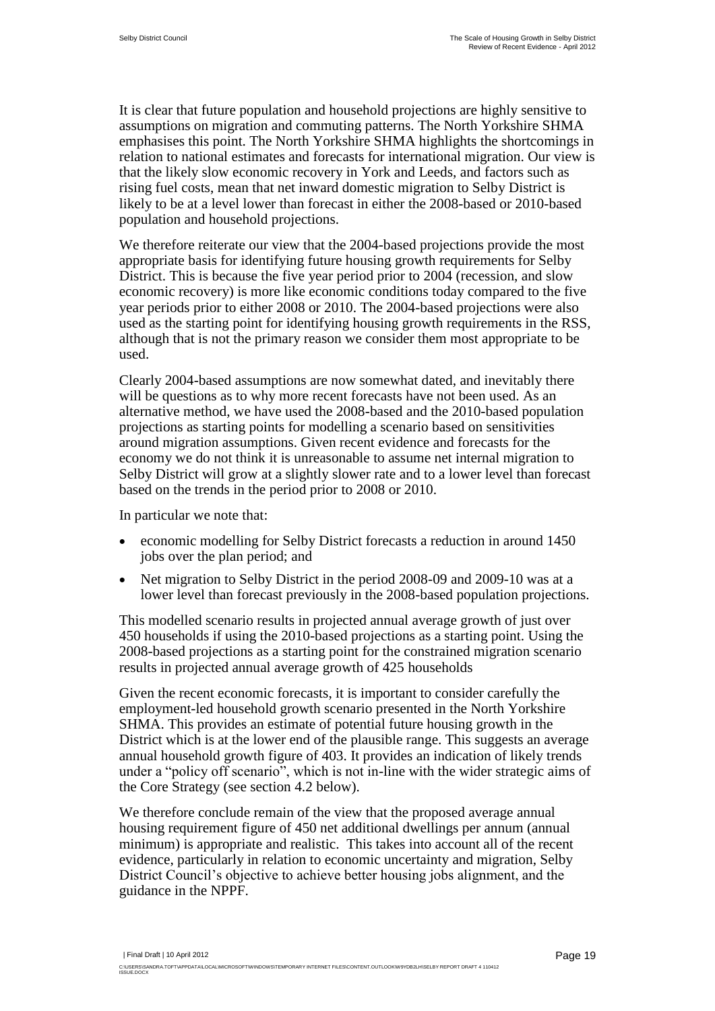It is clear that future population and household projections are highly sensitive to assumptions on migration and commuting patterns. The North Yorkshire SHMA emphasises this point. The North Yorkshire SHMA highlights the shortcomings in relation to national estimates and forecasts for international migration. Our view is that the likely slow economic recovery in York and Leeds, and factors such as rising fuel costs, mean that net inward domestic migration to Selby District is likely to be at a level lower than forecast in either the 2008-based or 2010-based population and household projections.

We therefore reiterate our view that the 2004-based projections provide the most appropriate basis for identifying future housing growth requirements for Selby District. This is because the five year period prior to 2004 (recession, and slow economic recovery) is more like economic conditions today compared to the five year periods prior to either 2008 or 2010. The 2004-based projections were also used as the starting point for identifying housing growth requirements in the RSS, although that is not the primary reason we consider them most appropriate to be used.

Clearly 2004-based assumptions are now somewhat dated, and inevitably there will be questions as to why more recent forecasts have not been used. As an alternative method, we have used the 2008-based and the 2010-based population projections as starting points for modelling a scenario based on sensitivities around migration assumptions. Given recent evidence and forecasts for the economy we do not think it is unreasonable to assume net internal migration to Selby District will grow at a slightly slower rate and to a lower level than forecast based on the trends in the period prior to 2008 or 2010.

In particular we note that:

- economic modelling for Selby District forecasts a reduction in around 1450 jobs over the plan period; and
- Net migration to Selby District in the period 2008-09 and 2009-10 was at a lower level than forecast previously in the 2008-based population projections.

This modelled scenario results in projected annual average growth of just over 450 households if using the 2010-based projections as a starting point. Using the 2008-based projections as a starting point for the constrained migration scenario results in projected annual average growth of 425 households

Given the recent economic forecasts, it is important to consider carefully the employment-led household growth scenario presented in the North Yorkshire SHMA. This provides an estimate of potential future housing growth in the District which is at the lower end of the plausible range. This suggests an average annual household growth figure of 403. It provides an indication of likely trends under a "policy off scenario", which is not in-line with the wider strategic aims of the Core Strategy (see section 4.2 below).

We therefore conclude remain of the view that the proposed average annual housing requirement figure of 450 net additional dwellings per annum (annual minimum) is appropriate and realistic. This takes into account all of the recent evidence, particularly in relation to economic uncertainty and migration, Selby District Council"s objective to achieve better housing jobs alignment, and the guidance in the NPPF.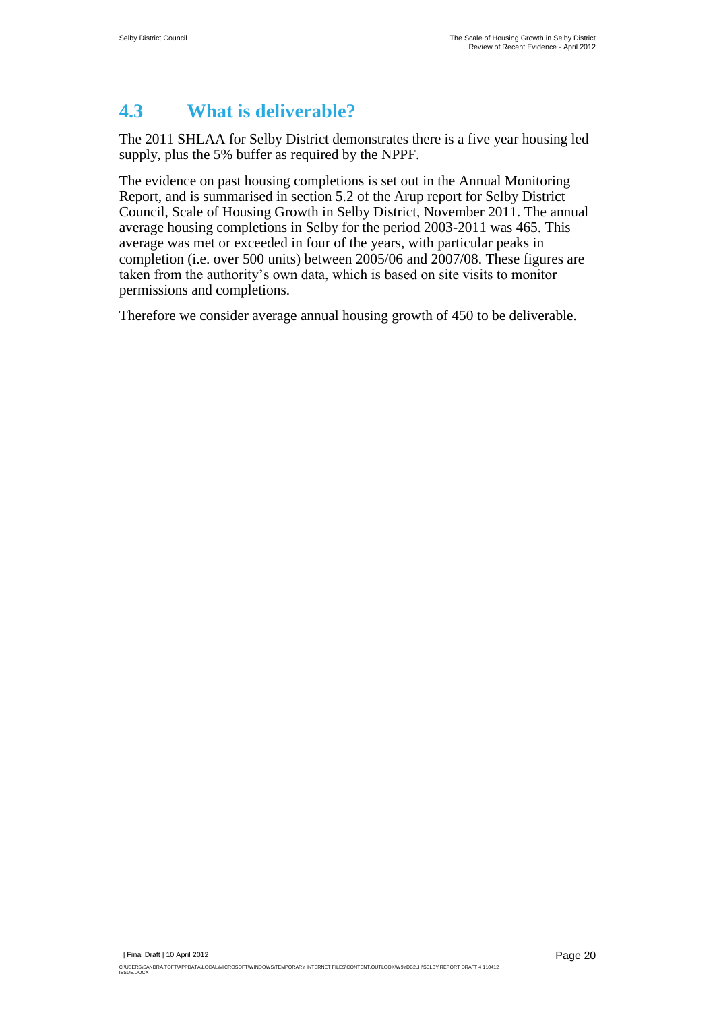### <span id="page-21-0"></span>**4.3 What is deliverable?**

The 2011 SHLAA for Selby District demonstrates there is a five year housing led supply, plus the 5% buffer as required by the NPPF.

The evidence on past housing completions is set out in the Annual Monitoring Report, and is summarised in section 5.2 of the Arup report for Selby District Council, Scale of Housing Growth in Selby District, November 2011. The annual average housing completions in Selby for the period 2003-2011 was 465. This average was met or exceeded in four of the years, with particular peaks in completion (i.e. over 500 units) between 2005/06 and 2007/08. These figures are taken from the authority"s own data, which is based on site visits to monitor permissions and completions.

Therefore we consider average annual housing growth of 450 to be deliverable.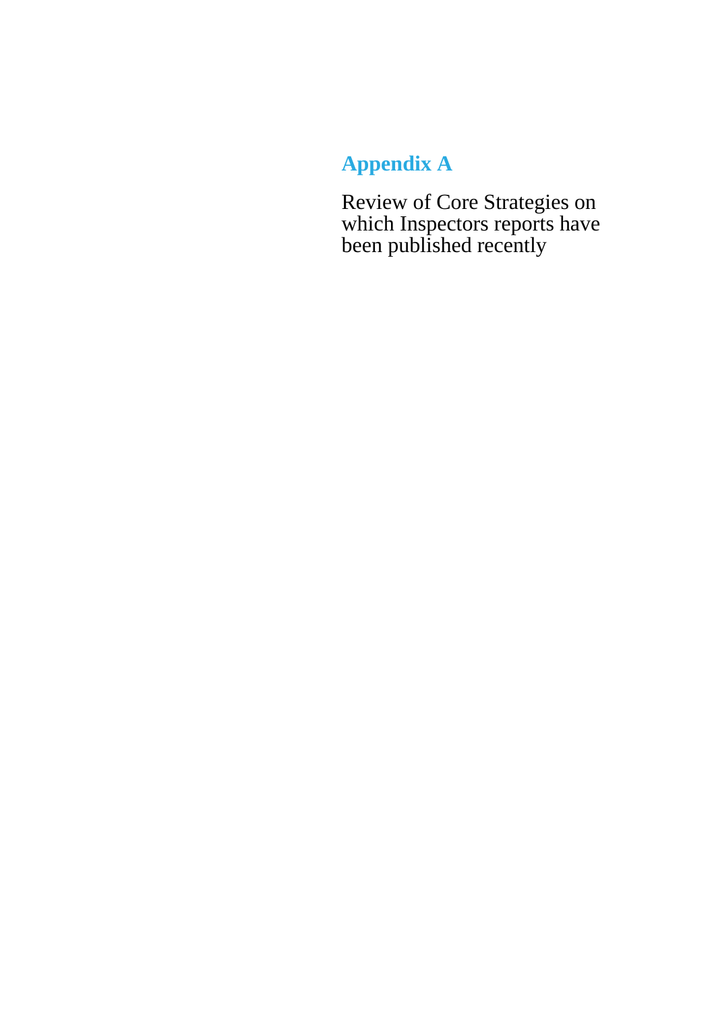# <span id="page-22-0"></span>**Appendix A**

<span id="page-22-1"></span>Review of Core Strategies on which Inspectors reports have been published recently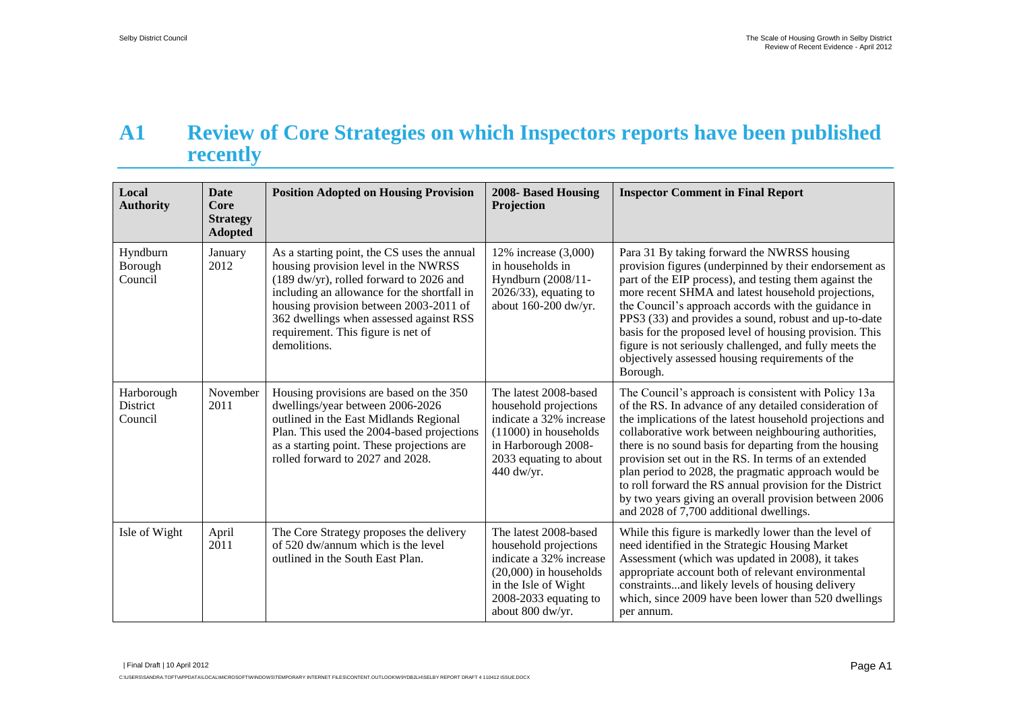# **A1 Review of Core Strategies on which Inspectors reports have been published recently**

| Local<br><b>Authority</b>         | <b>Date</b><br>Core<br><b>Strategy</b><br><b>Adopted</b> | <b>Position Adopted on Housing Provision</b>                                                                                                                                                                                                                                                                             | 2008- Based Housing<br>Projection                                                                                                                                            | <b>Inspector Comment in Final Report</b>                                                                                                                                                                                                                                                                                                                                                                                                                                                                                                                                     |
|-----------------------------------|----------------------------------------------------------|--------------------------------------------------------------------------------------------------------------------------------------------------------------------------------------------------------------------------------------------------------------------------------------------------------------------------|------------------------------------------------------------------------------------------------------------------------------------------------------------------------------|------------------------------------------------------------------------------------------------------------------------------------------------------------------------------------------------------------------------------------------------------------------------------------------------------------------------------------------------------------------------------------------------------------------------------------------------------------------------------------------------------------------------------------------------------------------------------|
| Hyndburn<br>Borough<br>Council    | January<br>2012                                          | As a starting point, the CS uses the annual<br>housing provision level in the NWRSS<br>(189 dw/yr), rolled forward to 2026 and<br>including an allowance for the shortfall in<br>housing provision between 2003-2011 of<br>362 dwellings when assessed against RSS<br>requirement. This figure is net of<br>demolitions. | 12% increase (3,000)<br>in households in<br>Hyndburn (2008/11-<br>$2026/33$ , equating to<br>about 160-200 dw/yr.                                                            | Para 31 By taking forward the NWRSS housing<br>provision figures (underpinned by their endorsement as<br>part of the EIP process), and testing them against the<br>more recent SHMA and latest household projections,<br>the Council's approach accords with the guidance in<br>PPS3 (33) and provides a sound, robust and up-to-date<br>basis for the proposed level of housing provision. This<br>figure is not seriously challenged, and fully meets the<br>objectively assessed housing requirements of the<br>Borough.                                                  |
| Harborough<br>District<br>Council | November<br>2011                                         | Housing provisions are based on the 350<br>dwellings/year between 2006-2026<br>outlined in the East Midlands Regional<br>Plan. This used the 2004-based projections<br>as a starting point. These projections are<br>rolled forward to 2027 and 2028.                                                                    | The latest 2008-based<br>household projections<br>indicate a 32% increase<br>$(11000)$ in households<br>in Harborough 2008-<br>2033 equating to about<br>440 dw/yr.          | The Council's approach is consistent with Policy 13a<br>of the RS. In advance of any detailed consideration of<br>the implications of the latest household projections and<br>collaborative work between neighbouring authorities,<br>there is no sound basis for departing from the housing<br>provision set out in the RS. In terms of an extended<br>plan period to 2028, the pragmatic approach would be<br>to roll forward the RS annual provision for the District<br>by two years giving an overall provision between 2006<br>and 2028 of 7,700 additional dwellings. |
| Isle of Wight                     | April<br>2011                                            | The Core Strategy proposes the delivery<br>of 520 dw/annum which is the level<br>outlined in the South East Plan.                                                                                                                                                                                                        | The latest 2008-based<br>household projections<br>indicate a 32% increase<br>$(20,000)$ in households<br>in the Isle of Wight<br>$2008-2033$ equating to<br>about 800 dw/yr. | While this figure is markedly lower than the level of<br>need identified in the Strategic Housing Market<br>Assessment (which was updated in 2008), it takes<br>appropriate account both of relevant environmental<br>constraintsand likely levels of housing delivery<br>which, since 2009 have been lower than 520 dwellings<br>per annum.                                                                                                                                                                                                                                 |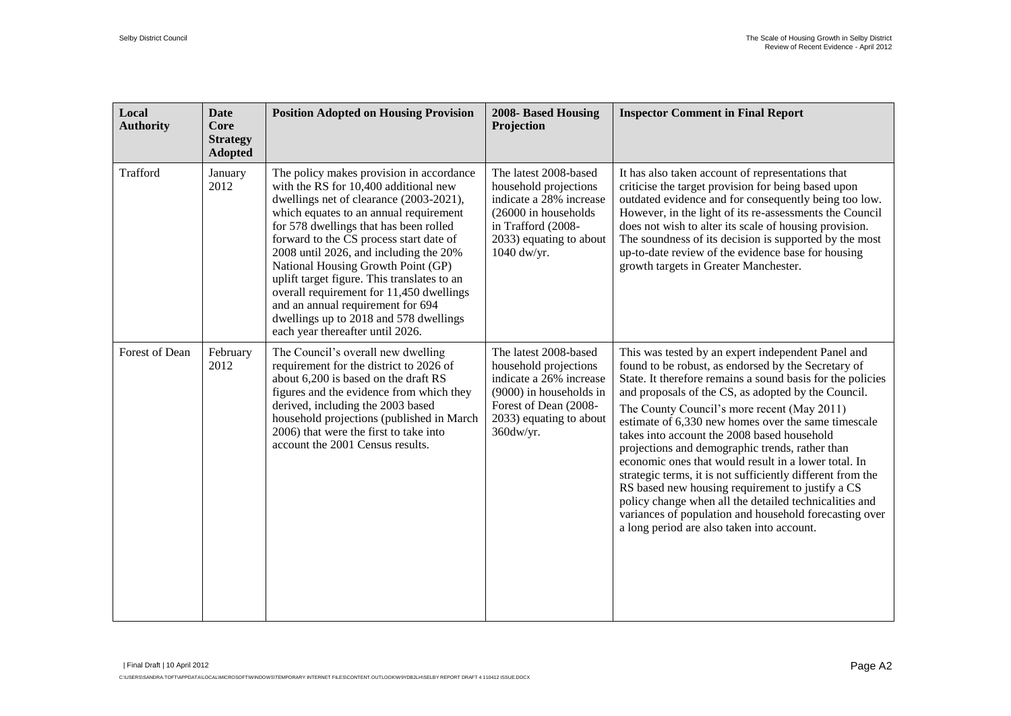| Local<br><b>Authority</b> | <b>Date</b><br>Core<br><b>Strategy</b><br><b>Adopted</b> | <b>Position Adopted on Housing Provision</b>                                                                                                                                                                                                                                                                                                                                                                                                                                                                                                              | 2008- Based Housing<br>Projection                                                                                                                                     | <b>Inspector Comment in Final Report</b>                                                                                                                                                                                                                                                                                                                                                                                                                                                                                                                                                                                                                                                                                                                                           |
|---------------------------|----------------------------------------------------------|-----------------------------------------------------------------------------------------------------------------------------------------------------------------------------------------------------------------------------------------------------------------------------------------------------------------------------------------------------------------------------------------------------------------------------------------------------------------------------------------------------------------------------------------------------------|-----------------------------------------------------------------------------------------------------------------------------------------------------------------------|------------------------------------------------------------------------------------------------------------------------------------------------------------------------------------------------------------------------------------------------------------------------------------------------------------------------------------------------------------------------------------------------------------------------------------------------------------------------------------------------------------------------------------------------------------------------------------------------------------------------------------------------------------------------------------------------------------------------------------------------------------------------------------|
| Trafford                  | January<br>2012                                          | The policy makes provision in accordance<br>with the RS for 10,400 additional new<br>dwellings net of clearance (2003-2021),<br>which equates to an annual requirement<br>for 578 dwellings that has been rolled<br>forward to the CS process start date of<br>2008 until 2026, and including the 20%<br>National Housing Growth Point (GP)<br>uplift target figure. This translates to an<br>overall requirement for 11,450 dwellings<br>and an annual requirement for 694<br>dwellings up to 2018 and 578 dwellings<br>each year thereafter until 2026. | The latest 2008-based<br>household projections<br>indicate a 28% increase<br>(26000 in households)<br>in Trafford (2008-<br>2033) equating to about<br>1040 dw/yr.    | It has also taken account of representations that<br>criticise the target provision for being based upon<br>outdated evidence and for consequently being too low.<br>However, in the light of its re-assessments the Council<br>does not wish to alter its scale of housing provision.<br>The soundness of its decision is supported by the most<br>up-to-date review of the evidence base for housing<br>growth targets in Greater Manchester.                                                                                                                                                                                                                                                                                                                                    |
| Forest of Dean            | February<br>2012                                         | The Council's overall new dwelling<br>requirement for the district to 2026 of<br>about 6,200 is based on the draft RS<br>figures and the evidence from which they<br>derived, including the 2003 based<br>household projections (published in March<br>2006) that were the first to take into<br>account the 2001 Census results.                                                                                                                                                                                                                         | The latest 2008-based<br>household projections<br>indicate a 26% increase<br>(9000) in households in<br>Forest of Dean (2008-<br>2033) equating to about<br>360dw/yr. | This was tested by an expert independent Panel and<br>found to be robust, as endorsed by the Secretary of<br>State. It therefore remains a sound basis for the policies<br>and proposals of the CS, as adopted by the Council.<br>The County Council's more recent (May 2011)<br>estimate of 6,330 new homes over the same timescale<br>takes into account the 2008 based household<br>projections and demographic trends, rather than<br>economic ones that would result in a lower total. In<br>strategic terms, it is not sufficiently different from the<br>RS based new housing requirement to justify a CS<br>policy change when all the detailed technicalities and<br>variances of population and household forecasting over<br>a long period are also taken into account. |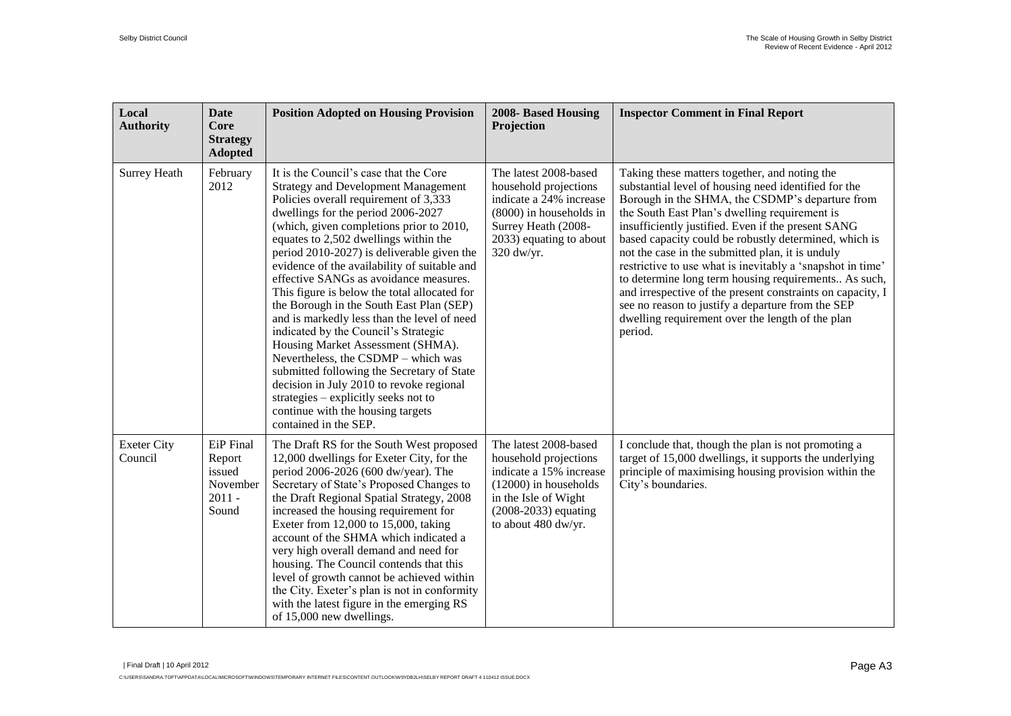| Local<br><b>Authority</b>     | <b>Date</b><br><b>Core</b><br><b>Strategy</b><br><b>Adopted</b> | <b>Position Adopted on Housing Provision</b>                                                                                                                                                                                                                                                                                                                                                                                                                                                                                                                                                                                                                                                                                                                                                                                                                    | 2008- Based Housing<br>Projection                                                                                                                                             | <b>Inspector Comment in Final Report</b>                                                                                                                                                                                                                                                                                                                                                                                                                                                                                                                                                                                                                                             |
|-------------------------------|-----------------------------------------------------------------|-----------------------------------------------------------------------------------------------------------------------------------------------------------------------------------------------------------------------------------------------------------------------------------------------------------------------------------------------------------------------------------------------------------------------------------------------------------------------------------------------------------------------------------------------------------------------------------------------------------------------------------------------------------------------------------------------------------------------------------------------------------------------------------------------------------------------------------------------------------------|-------------------------------------------------------------------------------------------------------------------------------------------------------------------------------|--------------------------------------------------------------------------------------------------------------------------------------------------------------------------------------------------------------------------------------------------------------------------------------------------------------------------------------------------------------------------------------------------------------------------------------------------------------------------------------------------------------------------------------------------------------------------------------------------------------------------------------------------------------------------------------|
| Surrey Heath                  | February<br>2012                                                | It is the Council's case that the Core<br><b>Strategy and Development Management</b><br>Policies overall requirement of 3,333<br>dwellings for the period 2006-2027<br>(which, given completions prior to 2010,<br>equates to 2,502 dwellings within the<br>period 2010-2027) is deliverable given the<br>evidence of the availability of suitable and<br>effective SANGs as avoidance measures.<br>This figure is below the total allocated for<br>the Borough in the South East Plan (SEP)<br>and is markedly less than the level of need<br>indicated by the Council's Strategic<br>Housing Market Assessment (SHMA).<br>Nevertheless, the CSDMP - which was<br>submitted following the Secretary of State<br>decision in July 2010 to revoke regional<br>strategies – explicitly seeks not to<br>continue with the housing targets<br>contained in the SEP. | The latest 2008-based<br>household projections<br>indicate a 24% increase<br>(8000) in households in<br>Surrey Heath (2008-<br>2033) equating to about<br>320 dw/yr.          | Taking these matters together, and noting the<br>substantial level of housing need identified for the<br>Borough in the SHMA, the CSDMP's departure from<br>the South East Plan's dwelling requirement is<br>insufficiently justified. Even if the present SANG<br>based capacity could be robustly determined, which is<br>not the case in the submitted plan, it is unduly<br>restrictive to use what is inevitably a 'snapshot in time'<br>to determine long term housing requirements As such,<br>and irrespective of the present constraints on capacity, I<br>see no reason to justify a departure from the SEP<br>dwelling requirement over the length of the plan<br>period. |
| <b>Exeter City</b><br>Council | EiP Final<br>Report<br>issued<br>November<br>$2011 -$<br>Sound  | The Draft RS for the South West proposed<br>12,000 dwellings for Exeter City, for the<br>period 2006-2026 (600 dw/year). The<br>Secretary of State's Proposed Changes to<br>the Draft Regional Spatial Strategy, 2008<br>increased the housing requirement for<br>Exeter from $12,000$ to $15,000$ , taking<br>account of the SHMA which indicated a<br>very high overall demand and need for<br>housing. The Council contends that this<br>level of growth cannot be achieved within<br>the City. Exeter's plan is not in conformity<br>with the latest figure in the emerging RS<br>of 15,000 new dwellings.                                                                                                                                                                                                                                                  | The latest 2008-based<br>household projections<br>indicate a 15% increase<br>$(12000)$ in households<br>in the Isle of Wight<br>$(2008-2033)$ equating<br>to about 480 dw/yr. | I conclude that, though the plan is not promoting a<br>target of 15,000 dwellings, it supports the underlying<br>principle of maximising housing provision within the<br>City's boundaries.                                                                                                                                                                                                                                                                                                                                                                                                                                                                                          |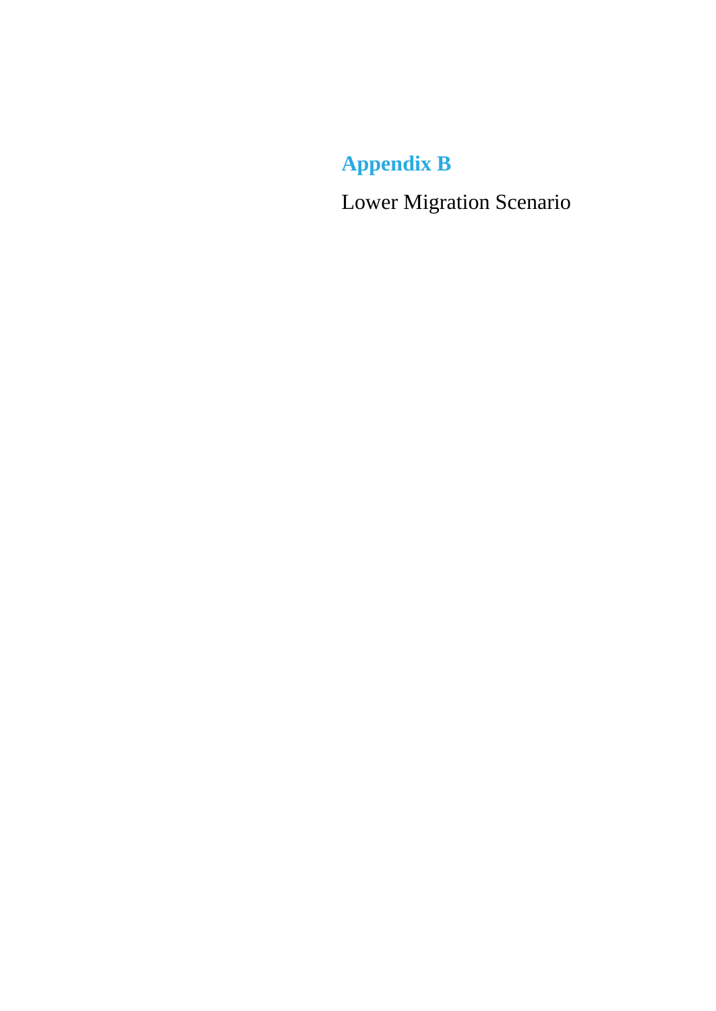<span id="page-26-0"></span>**Appendix B**

<span id="page-26-1"></span>Lower Migration Scenario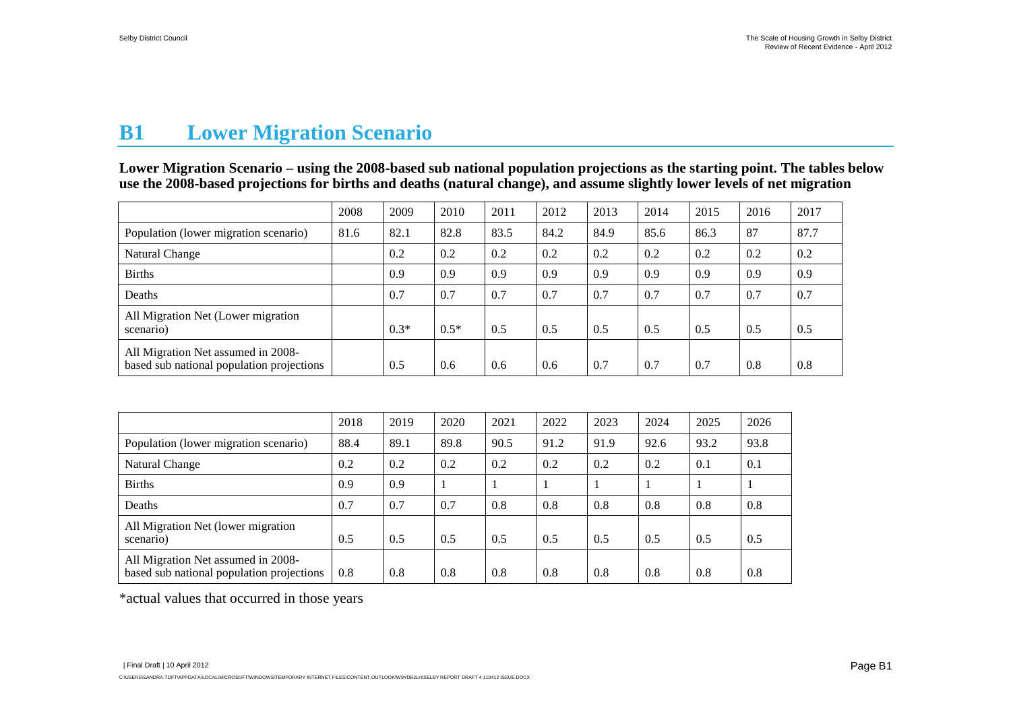# **B1 Lower Migration Scenario**

**Lower Migration Scenario – using the 2008-based sub national population projections as the starting point. The tables below use the 2008-based projections for births and deaths (natural change), and assume slightly lower levels of net migration** 

|                                                                                 | 2008 | 2009   | 2010   | 2011 | 2012 | 2013 | 2014 | 2015 | 2016 | 2017 |
|---------------------------------------------------------------------------------|------|--------|--------|------|------|------|------|------|------|------|
| Population (lower migration scenario)                                           | 81.6 | 82.1   | 82.8   | 83.5 | 84.2 | 84.9 | 85.6 | 86.3 | 87   | 87.7 |
| <b>Natural Change</b>                                                           |      | 0.2    | 0.2    | 0.2  | 0.2  | 0.2  | 0.2  | 0.2  | 0.2  | 0.2  |
| <b>Births</b>                                                                   |      | 0.9    | 0.9    | 0.9  | 0.9  | 0.9  | 0.9  | 0.9  | 0.9  | 0.9  |
| Deaths                                                                          |      | 0.7    | 0.7    | 0.7  | 0.7  | 0.7  | 0.7  | 0.7  | 0.7  | 0.7  |
| All Migration Net (Lower migration<br>scenario)                                 |      | $0.3*$ | $0.5*$ | 0.5  | 0.5  | 0.5  | 0.5  | 0.5  | 0.5  | 0.5  |
| All Migration Net assumed in 2008-<br>based sub national population projections |      | 0.5    | 0.6    | 0.6  | 0.6  | 0.7  | 0.7  | 0.7  | 0.8  | 0.8  |

|                                                                                 | 2018 | 2019 | 2020 | 2021 | 2022 | 2023 | 2024 | 2025 | 2026 |
|---------------------------------------------------------------------------------|------|------|------|------|------|------|------|------|------|
| Population (lower migration scenario)                                           | 88.4 | 89.1 | 89.8 | 90.5 | 91.2 | 91.9 | 92.6 | 93.2 | 93.8 |
| <b>Natural Change</b>                                                           | 0.2  | 0.2  | 0.2  | 0.2  | 0.2  | 0.2  | 0.2  | 0.1  | 0.1  |
| <b>Births</b>                                                                   | 0.9  | 0.9  |      |      |      |      |      |      |      |
| Deaths                                                                          | 0.7  | 0.7  | 0.7  | 0.8  | 0.8  | 0.8  | 0.8  | 0.8  | 0.8  |
| All Migration Net (lower migration<br>scenario)                                 | 0.5  | 0.5  | 0.5  | 0.5  | 0.5  | 0.5  | 0.5  | 0.5  | 0.5  |
| All Migration Net assumed in 2008-<br>based sub national population projections | 0.8  | 0.8  | 0.8  | 0.8  | 0.8  | 0.8  | 0.8  | 0.8  | 0.8  |

\*actual values that occurred in those years